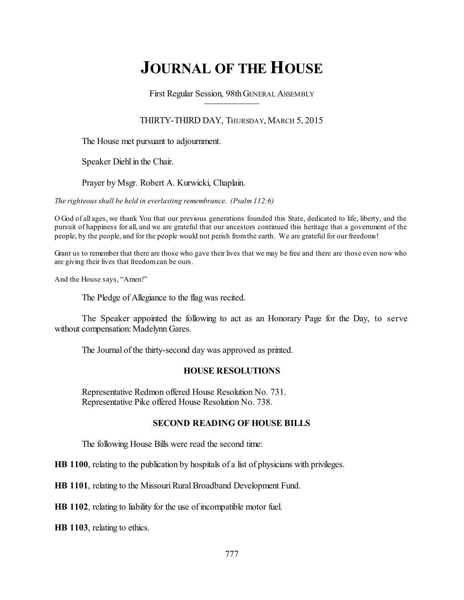# **JOURNAL OF THE HOUSE**

First Regular Session, 98thGENERAL ASSEMBLY

THIRTY-THIRD DAY, THURSDAY, MARCH 5, 2015

The House met pursuant to adjournment.

Speaker Diehl in the Chair.

Prayer by Msgr. Robert A. Kurwicki, Chaplain.

*The righteous shall be held in everlasting remembrance. (Psalm 112:6)*

O God of all ages, we thank You that our previous generations founded this State, dedicated to life, liberty, and the pursuit of happiness for all, and we are grateful that our ancestors continued this heritage that a government of the people, by the people, and for the people would not perish fromthe earth. We are grateful for our freedoms!

Grant us to remember that there are those who gave their lives that we may be free and there are those even now who are giving their lives that freedomcan be ours.

And the House says, "Amen!"

The Pledge of Allegiance to the flag was recited.

The Speaker appointed the following to act as an Honorary Page for the Day, to serve without compensation: Madelynn Gares.

The Journal of the thirty-second day was approved as printed.

# **HOUSE RESOLUTIONS**

Representative Redmon offered House Resolution No. 731. Representative Pike offered House Resolution No. 738.

#### **SECOND READING OF HOUSE BILLS**

The following House Bills were read the second time:

**HB 1100**, relating to the publication by hospitals of a list of physicians with privileges.

**HB 1101**, relating to the Missouri Rural Broadband Development Fund.

**HB 1102**, relating to liability for the use of incompatible motor fuel.

**HB 1103**, relating to ethics.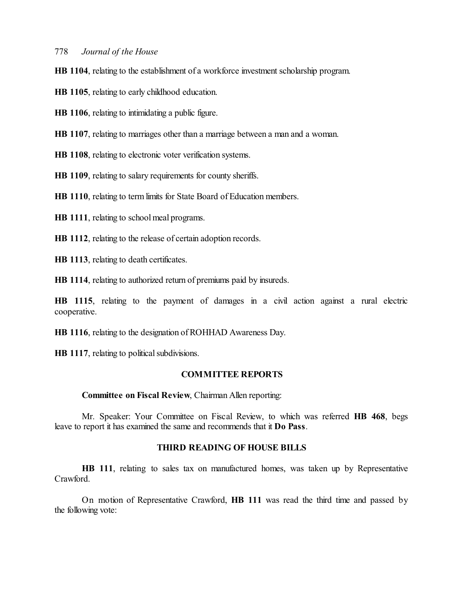**HB 1104**, relating to the establishment of a workforce investment scholarship program.

**HB 1105**, relating to early childhood education.

**HB 1106**, relating to intimidating a public figure.

**HB 1107**, relating to marriages other than a marriage between a man and a woman.

**HB 1108**, relating to electronic voter verification systems.

**HB 1109**, relating to salary requirements for county sheriffs.

**HB 1110**, relating to term limits for State Board of Education members.

**HB 1111**, relating to school meal programs.

**HB 1112**, relating to the release of certain adoption records.

**HB 1113**, relating to death certificates.

**HB 1114**, relating to authorized return of premiums paid by insureds.

**HB 1115**, relating to the payment of damages in a civil action against a rural electric cooperative.

**HB 1116**, relating to the designation of ROHHAD Awareness Day.

**HB 1117**, relating to political subdivisions.

#### **COMMITTEE REPORTS**

**Committee on Fiscal Review**, Chairman Allen reporting:

Mr. Speaker: Your Committee on Fiscal Review, to which was referred **HB 468**, begs leave to report it has examined the same and recommends that it **Do Pass**.

#### **THIRD READING OF HOUSE BILLS**

**HB 111**, relating to sales tax on manufactured homes, was taken up by Representative Crawford.

On motion of Representative Crawford, **HB 111** was read the third time and passed by the following vote: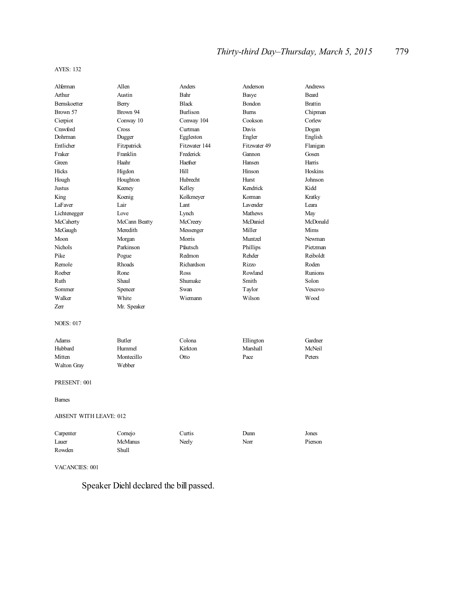#### AYES: 132

| Alferman                      | Allen          | Anders          | Anderson              | Andrews        |
|-------------------------------|----------------|-----------------|-----------------------|----------------|
| Arthur                        | Austin         | Bahr            | Basye                 | <b>Beard</b>   |
| Bernskoetter                  | Berry          | <b>Black</b>    | Bondon                | <b>Brattin</b> |
| Brown 57                      | Brown 94       | <b>Burlison</b> | <b>Bums</b>           | Chipman        |
| Cierpiot                      | Conway 10      | Conway 104      | Cookson               | Corlew         |
| Crawford                      | Cross          | Curtman         | Davis                 | Dogan          |
| Dohrman                       | Dugger         | Eggleston       | Engler                | English        |
| Entlicher                     | Fitzpatrick    | Fitzwater 144   | Fitzwater 49          | Flanigan       |
| Fraker                        | Franklin       | Frederick       | Gannon                | Gosen          |
| Green                         | Haahr          | Haefner         | Hansen                | Harris         |
| Hicks                         | Higdon         | Hill            | Hinson                | Hoskins        |
| Hough                         | Houghton       | Hubrecht        | Hurst                 | Johnson        |
| Justus                        | Keeney         | Kelley          | Kendrick              | Kidd           |
| King                          | Koenig         | Kolkmeyer       | Korman                | Kratky         |
| LaFaver                       | Lair           | Lant            | Lavender              | Leara          |
| Lichtenegger                  | Love           | Lynch           | <b>Mathews</b>        | May            |
| McCaherty                     | McCann Beatty  | McCreery        | McDaniel              | McDonald       |
| McGaugh                       | Meredith       | Messenger       | Miller                | Mims           |
| Moon                          | Morgan         | Morris          | Muntzel               | Newman         |
| Nichols                       | Parkinson      | Pfautsch        | Phillips              | Pietzman       |
| Pike                          | Pogue          | Redmon          | Rehder                | Reiboldt       |
| Remole                        | Rhoads         | Richardson      | Rizzo                 | Roden          |
| Roeber                        | Rone           | Ross            | Rowland               | <b>Runions</b> |
| Ruth                          | Shaul          | Shumake         | Smith                 | Solon          |
| Sommer                        | Spencer        | Swan            | Taylor                | Vescovo        |
| Walker                        | White          | Wiemann         | Wilson                | Wood           |
| Zerr                          | Mr. Speaker    |                 |                       |                |
| <b>NOES: 017</b>              |                |                 |                       |                |
| Adams                         | <b>Butler</b>  | Colona          |                       | Gardner        |
| Hubbard                       | Hummel         | Kirkton         | Ellington<br>Marshall | McNeil         |
| Mitten                        | Montecillo     | Otto            | Pace                  | Peters         |
|                               | Webber         |                 |                       |                |
| <b>Walton Gray</b>            |                |                 |                       |                |
| PRESENT: 001                  |                |                 |                       |                |
| <b>Barnes</b>                 |                |                 |                       |                |
| <b>ABSENT WITH LEAVE: 012</b> |                |                 |                       |                |
| Carpenter                     | Cornejo        | Curtis          | Dunn                  | Jones          |
| Lauer                         | <b>McManus</b> | Neely           | Norr                  | Pierson        |
| Rowden                        | Shull          |                 |                       |                |
|                               |                |                 |                       |                |

VACANCIES: 001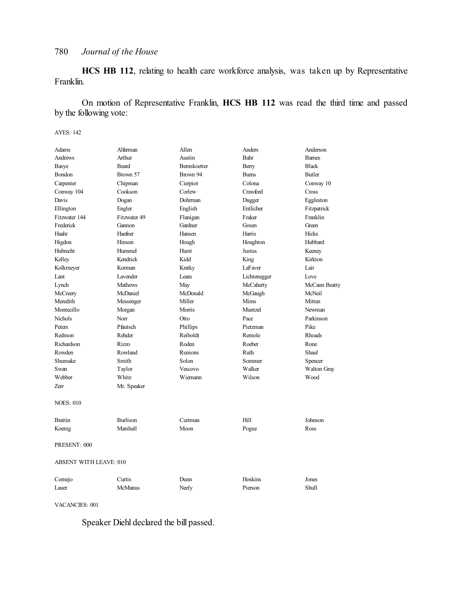**HCS HB 112**, relating to health care workforce analysis, was taken up by Representative Franklin.

On motion of Representative Franklin, **HCS HB 112** was read the third time and passed by the following vote:

#### AYES: 142

| Adams                         | Alferman        | Allen        | Anders       | Anderson      |
|-------------------------------|-----------------|--------------|--------------|---------------|
| Andrews                       | Arthur          | Austin       | Bahr         | <b>Barnes</b> |
| Basye                         | Beard           | Bernskoetter | Berry        | <b>Black</b>  |
| Bondon                        | Brown 57        | Brown 94     | <b>Burns</b> | <b>Butler</b> |
| Carpenter                     | Chipman         | Cierpiot     | Colona       | Conway 10     |
| Conway 104                    | Cookson         | Corlew       | Crawford     | Cross         |
| Davis                         | Dogan           | Dohrman      | Dugger       | Eggleston     |
| Ellington                     | Engler          | English      | Entlicher    | Fitzpatrick   |
| Fitzwater 144                 | Fitzwater 49    | Flanigan     | Fraker       | Franklin      |
| Frederick                     | Gannon          | Gardner      | Gosen        | Green         |
| Haahr                         | Haefner         | Hansen       | Harris       | Hicks         |
| Higdon                        | Hinson          | Hough        | Houghton     | Hubbard       |
| Hubrecht                      | Hummel          | Hurst        | Justus       | Keeney        |
| Kelley                        | Kendrick        | Kidd         | King         | Kirkton       |
| Kolkmeyer                     | Korman          | Kratky       | LaFaver      | Lair          |
| Lant                          | <b>Lavender</b> | Leara        | Lichtenegger | Love          |
| Lynch                         | <b>Mathews</b>  | May          | McCaherty    | McCann Beatty |
| McCreery                      | McDaniel        | McDonald     | McGaugh      | McNeil        |
| Meredith                      | Messenger       | Miller       | Mims         | Mitten        |
| Montecillo                    | Morgan          | Morris       | Muntzel      | Newman        |
| <b>Nichols</b>                | Norr            | Otto         | Pace         | Parkinson     |
| Peters                        | Pfautsch        | Phillips     | Pietzman     | Pike          |
| Redmon                        | Rehder          | Reiboldt     | Remole       | Rhoads        |
| Richardson                    | <b>Rizzo</b>    | Roden        | Roeber       | Rone          |
| Rowden                        | Rowland         | Runions      | Ruth         | Shaul         |
| Shumake                       | Smith           | Solon        | Sommer       | Spencer       |
| Swan                          | Taylor          | Vescovo      | Walker       | Walton Gray   |
| Webber                        | White           | Wiemann      | Wilson       | Wood          |
| Zerr                          | Mr. Speaker     |              |              |               |
| <b>NOES: 010</b>              |                 |              |              |               |
| <b>Brattin</b>                | Burlison        | Curtman      | Hill         | Johnson       |
| Koenig                        | Marshall        | Moon         | Pogue        | Ross          |
| PRESENT: 000                  |                 |              |              |               |
| <b>ABSENT WITH LEAVE: 010</b> |                 |              |              |               |
| Cornejo                       | Curtis          | Dunn         | Hoskins      | Jones         |
| Lauer                         | McManus         | Neely        | Pierson      | Shull         |

VACANCIES: 001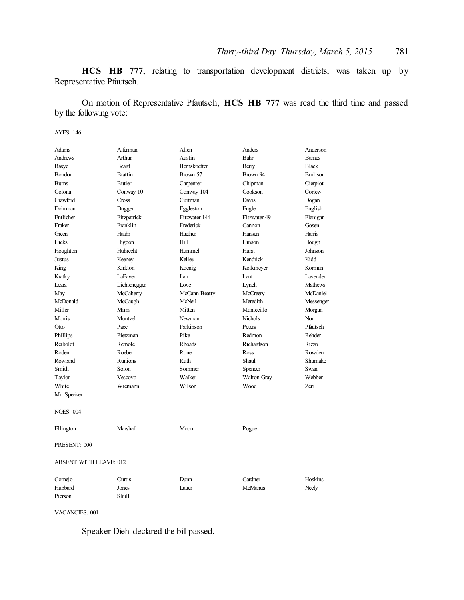**HCS HB 777**, relating to transportation development districts, was taken up by Representative Pfautsch.

On motion of Representative Pfautsch, **HCS HB 777** was read the third time and passed by the following vote:

AYES: 146

| Adams                         | Alferman       | Allen         | Anders         | Anderson        |  |
|-------------------------------|----------------|---------------|----------------|-----------------|--|
| Andrews                       | Arthur         | Austin        | Bahr           | <b>Bames</b>    |  |
| <b>Basye</b>                  | Beard          | Bernskoetter  | Berry          | <b>Black</b>    |  |
| Bondon                        | <b>Brattin</b> | Brown 57      | Brown 94       | <b>Burlison</b> |  |
| <b>Burns</b>                  | Butler         | Carpenter     | Chipman        | Cierpiot        |  |
| Colona                        | Conway 10      | Conway 104    | Cookson        | Corlew          |  |
| Crawford                      | Cross          | Curtman       | Davis          | Dogan           |  |
| Dohrman                       | Dugger         | Eggleston     | Engler         | English         |  |
| Entlicher                     | Fitzpatrick    | Fitzwater 144 | Fitzwater 49   | Flanigan        |  |
| Fraker                        | Franklin       | Frederick     | Gannon         | Gosen           |  |
| Green                         | Haahr          | Haefner       | Hansen         | Harris          |  |
| Hicks                         | Higdon         | Hill          | Hinson         | Hough           |  |
| Houghton                      | Hubrecht       | Hummel        | Hurst          | Johnson         |  |
| Justus                        | Keeney         | Kelley        | Kendrick       | Kidd            |  |
| King                          | Kirkton        | Koenig        | Kolkmeyer      | Korman          |  |
| Kratky                        | LaFaver        | Lair          | Lant           | Lavender        |  |
| Leara                         | Lichtenegger   | Love          | Lynch          | Mathews         |  |
| May                           | McCaherty      | McCann Beatty | McCreery       | McDaniel        |  |
| McDonald                      | McGaugh        | McNeil        | Meredith       | Messenger       |  |
| Miller                        | Mims           | Mitten        | Montecillo     | Morgan          |  |
| Morris                        | Muntzel        | Newman        | <b>Nichols</b> | Norr            |  |
| Otto                          | Pace           | Parkinson     | Peters         | Pfautsch        |  |
| Phillips                      | Pietzman       | Pike          | Redmon         | Rehder          |  |
| Reiboldt                      | Remole         | Rhoads        | Richardson     | Rizzo           |  |
| Roden                         | Roeber         | Rone          | Ross           | Rowden          |  |
| Rowland                       | Runions        | Ruth          | Shaul          | Shumake         |  |
| Smith                         | Solon          | Sommer        | Spencer        | Swan            |  |
| Taylor                        | Vescovo        | Walker        | Walton Gray    | Webber          |  |
| White                         | Wiemann        | Wilson        | Wood           | <b>Zerr</b>     |  |
| Mr. Speaker                   |                |               |                |                 |  |
| <b>NOES: 004</b>              |                |               |                |                 |  |
| Ellington                     | Marshall       | Moon          | Pogue          |                 |  |
| PRESENT: 000                  |                |               |                |                 |  |
| <b>ABSENT WITH LEAVE: 012</b> |                |               |                |                 |  |
| Cornejo                       | Curtis         | Dunn          | Gardner        | Hoskins         |  |
| Hubbard                       | Jones          | Lauer         | <b>McManus</b> | Neely           |  |
| Pierson                       | Shull          |               |                |                 |  |

VACANCIES: 001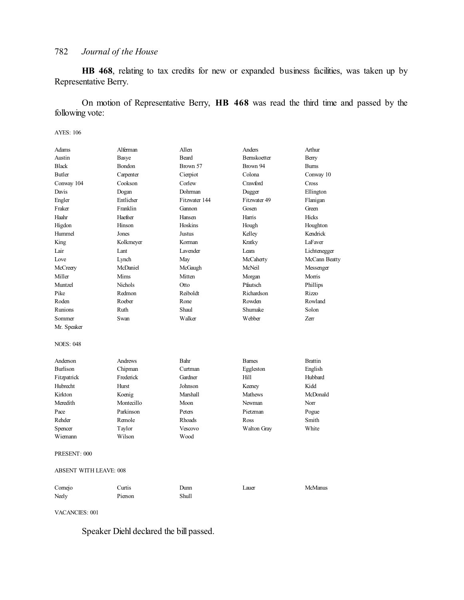**HB 468**, relating to tax credits for new or expanded business facilities, was taken up by Representative Berry.

On motion of Representative Berry, **HB 468** was read the third time and passed by the following vote:

#### AYES: 106

| Adams                         | Alferman       | Allen           | Anders             | Arthur         |
|-------------------------------|----------------|-----------------|--------------------|----------------|
| Austin                        | Basye          | <b>Beard</b>    | Bernskoetter       | Berry          |
| <b>Black</b>                  | Bondon         | Brown 57        | Brown 94           | <b>Burns</b>   |
| <b>Butler</b>                 | Carpenter      | Cierpiot        | Colona             | Conway 10      |
| Conway 104                    | Cookson        | Corlew          | Crawford           | Cross          |
| Davis                         | Dogan          | Dohrman         | Dugger             | Ellington      |
| Engler                        | Entlicher      | Fitzwater 144   | Fitzwater 49       | Flanigan       |
| Fraker                        | Franklin       | Gannon          | Gosen              | Green          |
| Haahr                         | Haefner        | Hansen          | Harris             | <b>Hicks</b>   |
| Higdon                        | Hinson         | Hoskins         | Hough              | Houghton       |
| Hummel                        | Jones          | Justus          | Kelley             | Kendrick       |
| King                          | Kolkmeyer      | Korman          | Kratky             | LaFaver        |
| Lair                          | Lant           | <b>Lavender</b> | Leara              | Lichtenegger   |
| Love                          | Lynch          | May             | McCaherty          | McCann Beatty  |
| McCreery                      | McDaniel       | McGaugh         | McNeil             | Messenger      |
| Miller                        | Mims           | Mitten          | Morgan             | Morris         |
| Muntzel                       | <b>Nichols</b> | Otto            | Pfautsch           | Phillips       |
| Pike                          | Redmon         | Reiboldt        | Richardson         | <b>Rizzo</b>   |
| Roden                         | Roeber         | Rone            | Rowden             | Rowland        |
| Runions                       | Ruth           | Shaul           | Shumake            | Solon          |
| Sommer                        | Swan           | Walker          | Webber             | Zerr           |
| Mr. Speaker                   |                |                 |                    |                |
| <b>NOES: 048</b>              |                |                 |                    |                |
| Anderson                      | Andrews        | Bahr            | <b>Bames</b>       | <b>Brattin</b> |
| <b>Burlison</b>               | Chipman        | Curtman         | Eggleston          | English        |
| Fitzpatrick                   | Frederick      | Gardner         | Hill               | Hubbard        |
| Hubrecht                      | Hurst          | Johnson         | Keeney             | Kidd           |
| Kirkton                       | Koenig         | Marshall        | Mathews            | McDonald       |
| Meredith                      | Montecillo     | Moon            | Newman             | Norr           |
| Pace                          | Parkinson      | Peters          | Pietzman           | Pogue          |
| Rehder                        | Remole         | <b>Rhoads</b>   | Ross               | Smith          |
| Spencer                       | Taylor         | Vescovo         | <b>Walton Gray</b> | White          |
| Wiemann                       | Wilson         | Wood            |                    |                |
| PRESENT: 000                  |                |                 |                    |                |
| <b>ABSENT WITH LEAVE: 008</b> |                |                 |                    |                |
| Cornejo                       | Curtis         | Dunn            | Lauer              | <b>McManus</b> |
| Neely                         | Pierson        | Shull           |                    |                |

VACANCIES: 001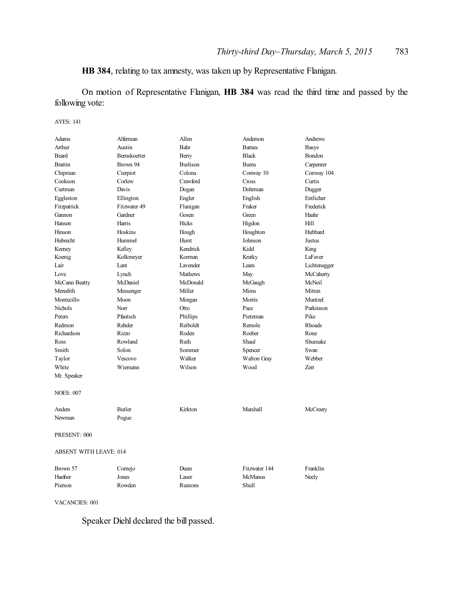**HB 384**, relating to tax amnesty, was taken up by Representative Flanigan.

On motion of Representative Flanigan, **HB 384** was read the third time and passed by the following vote:

#### AYES: 141

| Adams                         | Alferman     | Allen           | Anderson       | Andrews      |
|-------------------------------|--------------|-----------------|----------------|--------------|
| Arthur                        | Austin       | Bahr            | <b>Barnes</b>  | Basye        |
| Beard                         | Bernskoetter | Berry           | <b>Black</b>   | Bondon       |
| <b>Brattin</b>                | Brown 94     | <b>Burlison</b> | <b>Burns</b>   | Carpenter    |
| Chipman                       | Cierpiot     | Colona          | Conway 10      | Conway 104   |
| Cookson                       | Corlew       | Crawford        | Cross          | Curtis       |
| Curtman                       | Davis        | Dogan           | Dohrman        | Dugger       |
| Eggleston                     | Ellington    | Engler          | English        | Entlicher    |
| Fitzpatrick                   | Fitzwater 49 | Flanigan        | Fraker         | Frederick    |
| Gannon                        | Gardner      | Gosen           | Green          | Haahr        |
| Hansen                        | Harris       | Hicks           | Higdon         | Hill         |
| Hinson                        | Hoskins      | Hough           | Houghton       | Hubbard      |
| Hubrecht                      | Hummel       | Hurst           | Johnson        | Justus       |
| Keeney                        | Kelley       | Kendrick        | Kidd           | King         |
| Koenig                        | Kolkmeyer    | Korman          | Kratky         | LaFaver      |
| Lair                          | Lant         | Lavender        | Leara          | Lichtenegger |
| Love                          | Lynch        | <b>Mathews</b>  | May            | McCaherty    |
| McCann Beatty                 | McDaniel     | McDonald        | McGaugh        | McNeil       |
| Meredith                      | Messenger    | Miller          | Mims           | Mitten       |
| Montecillo                    | Moon         | Morgan          | Morris         | Muntzel      |
| Nichols                       | Norr         | Otto            | Pace           | Parkinson    |
| Peters                        | Pfautsch     | Phillips        | Pietzman       | Pike         |
| Redmon                        | Rehder       | Reiboldt        | Remole         | Rhoads       |
| Richardson                    | <b>Rizzo</b> | Roden           | Roeber         | Rone         |
| Ross                          | Rowland      | Ruth            | Shaul          | Shumake      |
| Smith                         | Solon        | Sommer          | Spencer        | Swan         |
| Taylor                        | Vescovo      | Walker          | Walton Gray    | Webber       |
| White                         | Wiemann      | Wilson          | Wood           | 7er          |
| Mr. Speaker                   |              |                 |                |              |
| <b>NOES: 007</b>              |              |                 |                |              |
| Anders                        | Butler       | Kirkton         | Marshall       | McCreery     |
| Newman                        | Pogue        |                 |                |              |
| PRESENT: 000                  |              |                 |                |              |
| <b>ABSENT WITH LEAVE: 014</b> |              |                 |                |              |
| Brown 57                      | Comejo       | Dunn            | Fitzwater 144  | Franklin     |
| Haefner                       | Jones        | Lauer           | <b>McManus</b> | Neely        |
| Pierson                       | Rowden       | Runions         | <b>Shull</b>   |              |

VACANCIES: 001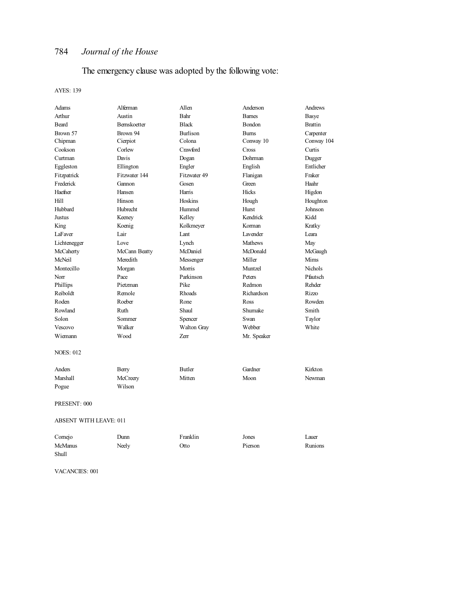# The emergency clause was adopted by the following vote:

# AYES: 139

| Adams                         | Alferman      | Allen           | Anderson        | Andrews        |  |
|-------------------------------|---------------|-----------------|-----------------|----------------|--|
| Arthur                        | Austin        | Bahr            | <b>Barnes</b>   | Basye          |  |
| <b>Beard</b>                  | Bernskoetter  | <b>Black</b>    | <b>Bondon</b>   | <b>Brattin</b> |  |
| Brown 57                      | Brown 94      | <b>Burlison</b> | <b>Bums</b>     | Carpenter      |  |
| Chipman                       | Cierpiot      | Colona          | Conway 10       | Conway 104     |  |
| Cookson                       | Corlew        | Crawford        | Cross           | Curtis         |  |
| Curtman                       | Davis         | Dogan           | Dohrman         | Dugger         |  |
| Eggleston                     | Ellington     | Engler          | English         | Entlicher      |  |
| Fitzpatrick                   | Fitzwater 144 | Fitzwater 49    | Flanigan        | Fraker         |  |
| Frederick                     | Gannon        | Gosen           | Green           | Haahr          |  |
| Haefner                       | Hansen        | Harris          | <b>Hicks</b>    | Higdon         |  |
| Hill                          | Hinson        | Hoskins         | Hough           | Houghton       |  |
| Hubbard                       | Hubrecht      | Hummel          | Hurst           | Johnson        |  |
| Justus                        | Keeney        | Kelley          | Kendrick        | Kidd           |  |
| King                          | Koenig        | Kolkmeyer       | Korman          | Kratky         |  |
| LaFaver                       | Lair          | Lant            | <b>Lavender</b> | Leara          |  |
| Lichtenegger                  | Love          | Lynch           | <b>Mathews</b>  | May            |  |
| McCaherty                     | McCann Beatty | McDaniel        | McDonald        | McGaugh        |  |
| McNeil                        | Meredith      | Messenger       | Miller          | Mims           |  |
| Montecillo                    | Morgan        | Morris          | Muntzel         | Nichols        |  |
| Norr                          | Pace          | Parkinson       | Peters          | Pfautsch       |  |
| Phillips                      | Pietzman      | Pike            | Redmon          | Rehder         |  |
| Reiboldt                      | Remole        | Rhoads          | Richardson      | Rizzo          |  |
| Roden                         | Roeber        | Rone            | Ross            | Rowden         |  |
| Rowland                       | Ruth          | Shaul           | Shumake         | Smith          |  |
| Solon                         | Sommer        | Spencer         | Swan            | Taylor         |  |
| Vescovo                       | Walker        | Walton Gray     | Webber          | White          |  |
| Wiemann                       | Wood          | Zerr            | Mr. Speaker     |                |  |
| <b>NOES: 012</b>              |               |                 |                 |                |  |
| Anders                        | Berry         | <b>Butler</b>   | Gardner         | Kirkton        |  |
| <b>Marshall</b>               | McCreery      | Mitten          | Moon            | Newman         |  |
| Pogue                         | Wilson        |                 |                 |                |  |
| PRESENT: 000                  |               |                 |                 |                |  |
| <b>ABSENT WITH LEAVE: 011</b> |               |                 |                 |                |  |
| Comejo                        | Dunn          | Franklin        | Jones           | Lauer          |  |
| <b>McManus</b>                | Neely         | Otto            | Pierson         | Runions        |  |
| Shull                         |               |                 |                 |                |  |
|                               |               |                 |                 |                |  |

VACANCIES: 001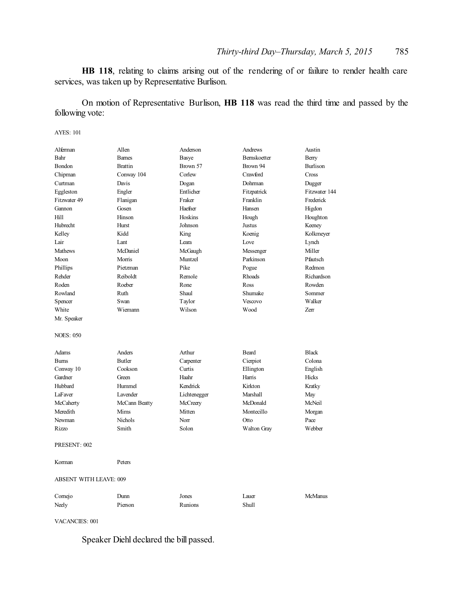**HB 118**, relating to claims arising out of the rendering of or failure to render health care services, was taken up by Representative Burlison.

On motion of Representative Burlison, **HB 118** was read the third time and passed by the following vote:

AYES: 101

| Alferman                      | Allen          | Anderson     | Andrews      | Austin          |  |
|-------------------------------|----------------|--------------|--------------|-----------------|--|
| Bahr                          | <b>Barnes</b>  | Basye        | Bernskoetter | Berry           |  |
| Bondon                        | <b>Brattin</b> | Brown 57     | Brown 94     | <b>Burlison</b> |  |
| Chipman                       | Conway 104     | Corlew       | Crawford     | Cross           |  |
| Curtman                       | Davis          | Dogan        | Dohrman      | Dugger          |  |
| Eggleston                     | Engler         | Entlicher    | Fitzpatrick  | Fitzwater 144   |  |
| Fitzwater 49                  | Flanigan       | Fraker       | Franklin     | Frederick       |  |
| Gannon                        | Gosen          | Haefner      | Hansen       | Higdon          |  |
| Hill                          | Hinson         | Hoskins      | Hough        | Houghton        |  |
| Hubrecht                      | Hurst          | Johnson      | Justus       | Keeney          |  |
| Kelley                        | Kidd           | King         | Koenig       | Kolkmeyer       |  |
| Lair                          | Lant           | Leara        | Love         | Lynch           |  |
| <b>Mathews</b>                | McDaniel       | McGaugh      | Messenger    | Miller          |  |
| Moon                          | Morris         | Muntzel      | Parkinson    | Pfautsch        |  |
| Phillips                      | Pietzman       | Pike         | Pogue        | Redmon          |  |
| Rehder                        | Reiboldt       | Remole       | Rhoads       | Richardson      |  |
| Roden                         | Roeber         | Rone         | Ross         | Rowden          |  |
| Rowland                       | Ruth           | Shaul        | Shumake      | Sommer          |  |
| Spencer                       | Swan           | Taylor       | Vescovo      | Walker          |  |
| White                         | Wiemann        | Wilson       | Wood         | <b>Zerr</b>     |  |
| Mr. Speaker                   |                |              |              |                 |  |
| <b>NOES: 050</b>              |                |              |              |                 |  |
| Adams                         | Anders         | Arthur       | <b>Beard</b> | <b>Black</b>    |  |
| <b>Burns</b>                  | <b>Butler</b>  | Carpenter    | Cierpiot     | Colona          |  |
| Conway 10                     | Cookson        | Curtis       | Ellington    | English         |  |
| Gardner                       | Green          | Haahr        | Harris       | Hicks           |  |
| Hubbard                       | Hummel         | Kendrick     | Kirkton      | Kratky          |  |
| LaFaver                       | Lavender       | Lichtenegger | Marshall     | May             |  |
| McCaherty                     | McCann Beatty  | McCreery     | McDonald     | McNeil          |  |
| Meredith                      | Mims           | Mitten       | Montecillo   | Morgan          |  |
| Newman                        | Nichols        | Norr         | Otto         | Pace            |  |
| Rizzo                         | Smith          | Solon        | Walton Gray  | Webber          |  |
| PRESENT: 002                  |                |              |              |                 |  |
| Korman                        | Peters         |              |              |                 |  |
| <b>ABSENT WITH LEAVE: 009</b> |                |              |              |                 |  |
| Cornejo                       | Dunn           | Jones        | Lauer        | McManus         |  |
| Neely                         | Pierson        | Runions      | <b>Shull</b> |                 |  |
|                               |                |              |              |                 |  |

VACANCIES: 001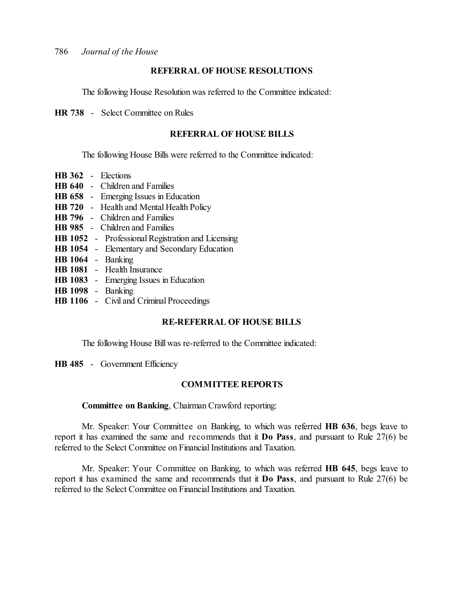# **REFERRAL OF HOUSE RESOLUTIONS**

The following House Resolution was referred to the Committee indicated:

**HR 738** - Select Committee on Rules

#### **REFERRAL OF HOUSE BILLS**

The following House Bills were referred to the Committee indicated:

- **HB 362** Elections
- **HB 640** Children and Families
- **HB 658** Emerging Issues in Education
- **HB 720** Health and Mental Health Policy
- **HB 796** Children and Families
- **HB 985** Children and Families
- **HB 1052** Professional Registration and Licensing
- **HB 1054** Elementary and Secondary Education
- **HB 1064** Banking
- **HB 1081** Health Insurance
- **HB 1083** Emerging Issues in Education
- **HB 1098** Banking
- **HB 1106** Civil and Criminal Proceedings

### **RE-REFERRAL OF HOUSE BILLS**

The following House Bill was re-referred to the Committee indicated:

**HB 485** - Government Efficiency

#### **COMMITTEE REPORTS**

#### **Committee on Banking**, Chairman Crawford reporting:

Mr. Speaker: Your Committee on Banking, to which was referred **HB 636**, begs leave to report it has examined the same and recommends that it **Do Pass**, and pursuant to Rule 27(6) be referred to the Select Committee on Financial Institutions and Taxation.

Mr. Speaker: Your Committee on Banking, to which was referred **HB 645**, begs leave to report it has examined the same and recommends that it **Do Pass**, and pursuant to Rule 27(6) be referred to the Select Committee on Financial Institutions and Taxation.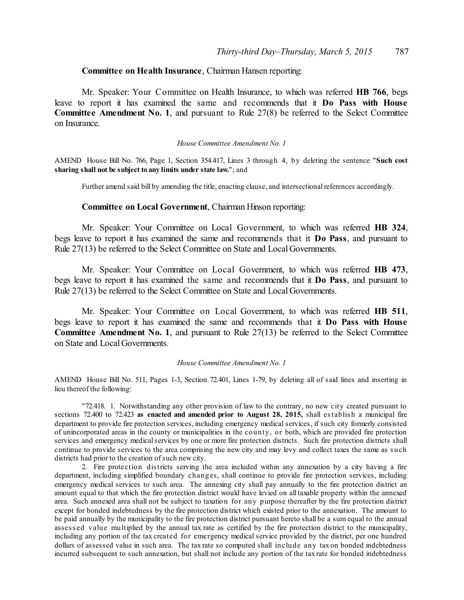#### **Committee on Health Insurance**, Chairman Hansen reporting:

Mr. Speaker: Your Committee on Health Insurance, to which was referred **HB 766**, begs leave to report it has examined the same and recommends that it **Do Pass with House Committee Amendment No. 1**, and pursuant to Rule 27(8) be referred to the Select Committee on Insurance.

#### *House Committee Amendment No. 1*

AMEND House Bill No. 766, Page 1, Section 354.417, Lines 3 through 4, by deleting the sentence "**Such cost sharing shall not be subject to any limits under state law.**"; and

Further amend said bill by amending the title, enacting clause, and intersectional references accordingly.

## **Committee on Local Government**, Chairman Hinson reporting:

Mr. Speaker: Your Committee on Local Government, to which was referred **HB 324**, begs leave to report it has examined the same and recommends that it **Do Pass**, and pursuant to Rule 27(13) be referred to the Select Committee on State and Local Governments.

Mr. Speaker: Your Committee on Local Government, to which was referred **HB 473**, begs leave to report it has examined the same and recommends that it **Do Pass**, and pursuant to Rule 27(13) be referred to the Select Committee on State and Local Governments.

Mr. Speaker: Your Committee on Local Government, to which was referred **HB 511**, begs leave to report it has examined the same and recommends that it **Do Pass with House Committee Amendment No. 1**, and pursuant to Rule 27(13) be referred to the Select Committee on State and Local Governments.

#### *House Committee Amendment No. 1*

AMEND House Bill No. 511, Pages 1-3, Section 72.401, Lines 1-79, by deleting all of said lines and inserting in lieu thereof the following:

"72.418. 1. Notwithstanding any other provision of law to the contrary, no new city created pursuant to sections 72.400 to 72.423 **as enacted and amended prior to August 28, 2015,** shall establis h a municipal fire department to provide fire protection services, including emergency medical services, if such city formerly consisted of unincorporated areas in the county or municipalities in the county, or both, which are provided fire protection services and emergency medical services by one or more fire protection districts. Such fire protection districts shall continue to provide services to the area comprising the new city and may levy and collect taxes the same as s uch districts had prior to the creation of such new city.

2. Fire protection districts serving the area included within any annexation by a city having a fire department, including simplified boundary changes, shall continue to provide fire protection services, including emergency medical services to such area. The annexing city shall pay annually to the fire protection district an amount equal to that which the fire protection district would have levied on all taxable property within the annexed area. Such annexed area shall not be subject to taxation for any purpose thereafter by the fire protection district except for bonded indebtedness by the fire protection district which existed prior to the annexation. The amount to be paid annually by the municipality to the fire protection district pursuant hereto shall be a sum equal to the annual assess ed value multiplied by the annual tax rate as certified by the fire protection district to the municipality, including any portion of the tax created for emergency medical service provided by the district, per one hundred dollars of assessed value in such area. The tax rate so computed shall include any tax on bonded indebtedness incurred subsequent to such annexation, but shall not include any portion of the tax rate for bonded indebtedness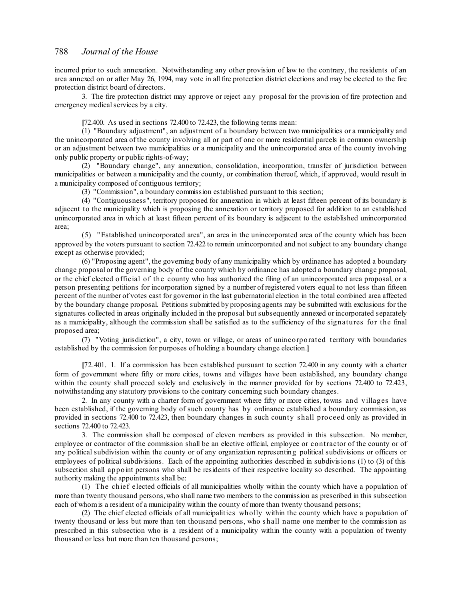incurred prior to such annexation. Notwithstanding any other provision of law to the contrary, the residents of an area annexed on or after May 26, 1994, may vote in all fire protection district elections and may be elected to the fire protection district board of directors.

3. The fire protection district may approve or reject any proposal for the provision of fire protection and emergency medical services by a city.

**[**72.400. As used in sections 72.400 to 72.423, the following terms mean:

(1) "Boundary adjustment", an adjustment of a boundary between two municipalities or a municipality and the unincorporated area of the county involving all or part of one or more residential parcels in common ownership or an adjustment between two municipalities or a municipality and the unincorporated area of the county involving only public property or public rights-of-way;

(2) "Boundary change", any annexation, consolidation, incorporation, transfer of jurisdiction between municipalities or between a municipality and the county, or combination thereof, which, if approved, would result in a municipality composed of contiguous territory;

(3) "Commission", a boundary commission established pursuant to this section;

(4) "Contiguousness", territory proposed for annexation in which at least fifteen percent of its boundary is adjacent to the municipality which is proposing the annexation or territory proposed for addition to an established unincorporated area in which at least fifteen percent of its boundary is adjacent to the established unincorporated area;

(5) "Established unincorporated area", an area in the unincorporated area of the county which has been approved by the voters pursuant to section 72.422 to remain unincorporated and not subject to any boundary change except as otherwise provided;

(6) "Proposing agent", the governing body of any municipality which by ordinance has adopted a boundary change proposal or the governing body of the county which by ordinance has adopted a boundary change proposal, or the chief elected official of the county who has authorized the filing of an unincorporated area proposal, or a person presenting petitions for incorporation signed by a number of registered voters equal to not less than fifteen percent of the number of votes cast for governor in the last gubernatorial election in the total combined area affected by the boundary change proposal. Petitions submitted by proposing agents may be submitted with exclusions for the signatures collected in areas originally included in the proposal but subsequently annexed or incorporated separately as a municipality, although the commission shall be satisfied as to the sufficiency of the signatures for the final proposed area;

(7) "Voting jurisdiction", a city, town or village, or areas of unincorporated territory with boundaries established by the commission for purposes of holding a boundary change election.**]**

**[**72.401. 1. If a commission has been established pursuant to section 72.400 in any county with a charter form of government where fifty or more cities, towns and villages have been established, any boundary change within the county shall proceed solely and exclusively in the manner provided for by sections 72.400 to 72.423, notwithstanding any statutory provisions to the contrary concerning such boundary changes.

2. In any county with a charter form of government where fifty or more cities, towns and villages have been established, if the governing body of such county has by ordinance established a boundary commission, as provided in sections 72.400 to 72.423, then boundary changes in such county s hall proceed only as provided in sections 72.400 to 72.423.

3. The commission shall be composed of eleven members as provided in this subsection. No member, employee or contractor of the commission shall be an elective official, employee or contractor of the county or of any political subdivision within the county or of any organization representing political subdivisions or officers or employees of political subdivisions. Each of the appointing authorities described in subdivisions (1) to (3) of this subsection shall appoint persons who shall be residents of their respective locality so described. The appointing authority making the appointments shall be:

(1) The chief elected officials of all municipalities wholly within the county which have a population of more than twenty thousand persons,who shall name two members to the commission as prescribed in this subsection each of whomis a resident of a municipality within the county of more than twenty thousand persons;

(2) The chief elected officials of all municipalities wholly within the county which have a population of twenty thousand or less but more than ten thousand persons, who s hall name one member to the commission as prescribed in this subsection who is a resident of a municipality within the county with a population of twenty thousand or less but more than ten thousand persons;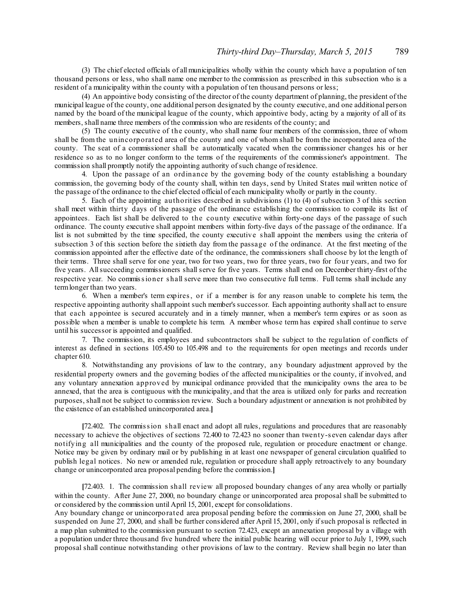(3) The chief elected officials of all municipalities wholly within the county which have a population of ten thousand persons or less, who shall name one member to the commission as prescribed in this subsection who is a resident of a municipality within the county with a population of ten thousand persons or less;

(4) An appointive body consisting of the director of the county department of planning, the president of the municipal league of the county, one additional person designated by the county executive, and one additional person named by the board of the municipal league of the county, which appointive body, acting by a majority of all of its members, shall name three members of the commission who are residents of the county; and

(5) The county executive of the county, who shall name four members of the commission, three of whom shall be from the unincorporated area of the county and one of whom shall be from the incorporated area of the county. The seat of a commissioner shall be automatically vacated when the commissioner changes his or her residence so as to no longer conform to the terms of the requirements of the commissioner's appointment. The commission shall promptly notify the appointing authority of such change of residence.

4. Upon the passage of an ordinance by the governing body of the county establishing a boundary commission, the governing body of the county shall, within ten days, send by United States mail written notice of the passage of the ordinance to the chief elected official of each municipality wholly or partly in the county.

5. Each of the appointing authorities described in subdivisions (1) to (4) of subsection 3 of this section shall meet within thirty days of the passage of the ordinance establishing the commission to compile its list of appointees. Each list shall be delivered to the county executive within forty-one days of the passage of such ordinance. The county executive shall appoint members within forty-five days of the passage of the ordinance. If a list is not submitted by the time specified, the county executive s hall appoint the members using the criteria of subsection 3 of this section before the sixtieth day from the passage of the ordinance. At the first meeting of the commission appointed after the effective date of the ordinance, the commissioners shall choose by lot the length of their terms. Three shall serve for one year, two for two years, two for three years, two for four years, and two for five years. Allsucceeding commissioners shall serve for five years. Terms shall end on December thirty-first of the respective year. No commissioner s hall serve more than two consecutive full terms. Full terms shall include any termlonger than two years.

6. When a member's term expires, or if a member is for any reason unable to complete his term, the respective appointing authority shall appoint such member's successor. Each appointing authority shall act to ensure that each appointee is secured accurately and in a timely manner, when a member's term expires or as soon as possible when a member is unable to complete his term. A member whose term has expired shall continue to serve until his successor is appointed and qualified.

7. The commission, its employees and subcontractors shall be subject to the regulation of conflicts of interest as defined in sections 105.450 to 105.498 and to the requirements for open meetings and records under chapter 610.

8. Notwithstanding any provisions of law to the contrary, any boundary adjustment approved by the residential property owners and the governing bodies of the affected municipalities or the county, if involved, and any voluntary annexation approved by municipal ordinance provided that the municipality owns the area to be annexed, that the area is contiguous with the municipality, and that the area is utilized only for parks and recreation purposes, shall not be subject to commission review. Such a boundary adjustment or annexation is not prohibited by the existence of an established unincorporated area.**]**

**[**72.402. The commission s hall enact and adopt all rules, regulations and procedures that are reasonably necessary to achieve the objectives of sections 72.400 to 72.423 no sooner than twenty-s even calendar days after notifying all municipalities and the county of the proposed rule, regulation or procedure enactment or change. Notice may be given by ordinary mail or by publishing in at least one newspaper of general circulation qualified to publish legal notices. No new or amended rule, regulation or procedure shall apply retroactively to any boundary change or unincorporated area proposal pending before the commission.**]**

**[**72.403. 1. The commission shall review all proposed boundary changes of any area wholly or partially within the county. After June 27, 2000, no boundary change or unincorporated area proposal shall be submitted to or considered by the commission until April 15, 2001, except for consolidations.

Any boundary change or unincorporated area proposal pending before the commission on June 27, 2000, shall be suspended on June 27, 2000, and shall be further considered after April 15, 2001, only ifsuch proposal is reflected in a map plan submitted to the commission pursuant to section 72.423, except an annexation proposal by a village with a population under three thousand five hundred where the initial public hearing will occur prior to July 1, 1999, such proposal shall continue notwithstanding other provisions of law to the contrary. Review shall begin no later than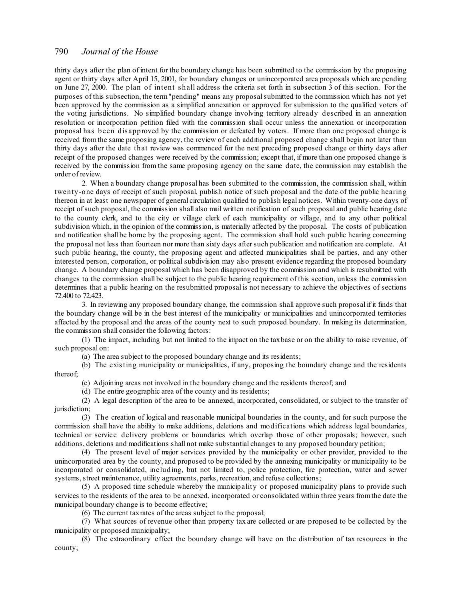thirty days after the plan of intent for the boundary change has been submitted to the commission by the proposing agent or thirty days after April 15, 2001, for boundary changes or unincorporated area proposals which are pending on June 27, 2000. The plan of intent s hall address the criteria set forth in subsection 3 of this section. For the purposes of this subsection, the term"pending" means any proposalsubmitted to the commission which has not yet been approved by the commission as a simplified annexation or approved for submission to the qualified voters of the voting jurisdictions. No simplified boundary change involving territory already described in an annexation resolution or incorporation petition filed with the commission shall occur unless the annexation or incorporation proposal has been dis approved by the commission or defeated by voters. If more than one proposed change is received fromthe same proposing agency, the review of each additional proposed change shall begin not later than thirty days after the date that review was commenced for the next preceding proposed change or thirty days after receipt of the proposed changes were received by the commission; except that, if more than one proposed change is received by the commission from the same proposing agency on the same date, the commission may establish the order of review.

2. When a boundary change proposal has been submitted to the commission, the commission shall, within twenty-one days of receipt of such proposal, publish notice of such proposal and the date of the public hearing thereon in at least one newspaper of general circulation qualified to publish legal notices. Within twenty-one days of receipt ofsuch proposal, the commission shall also mail written notification of such proposal and public hearing date to the county clerk, and to the city or village clerk of each municipality or village, and to any other political subdivision which, in the opinion of the commission, is materially affected by the proposal. The costs of publication and notification shall be borne by the proposing agent. The commission shall hold such public hearing concerning the proposal not less than fourteen nor more than sixty days aftersuch publication and notification are complete. At such public hearing, the county, the proposing agent and affected municipalities shall be parties, and any other interested person, corporation, or political subdivision may also present evidence regarding the proposed boundary change. A boundary change proposal which has been disapproved by the commission and which is resubmitted with changes to the commission shall be subject to the public hearing requirement of this section, unless the commission determines that a public hearing on the resubmitted proposal is not necessary to achieve the objectives of sections 72.400 to 72.423.

3. In reviewing any proposed boundary change, the commission shall approve such proposal if it finds that the boundary change will be in the best interest of the municipality or municipalities and unincorporated territories affected by the proposal and the areas of the county next to such proposed boundary. In making its determination, the commission shall consider the following factors:

(1) The impact, including but not limited to the impact on the taxbase or on the ability to raise revenue, of such proposal on:

(a) The area subject to the proposed boundary change and its residents;

(b) The existing municipality or municipalities, if any, proposing the boundary change and the residents thereof;

(c) Adjoining areas not involved in the boundary change and the residents thereof; and

(d) The entire geographic area of the county and its residents;

(2) A legal description of the area to be annexed, incorporated, consolidated, or subject to the transfer of jurisdiction;

(3) The creation of logical and reasonable municipal boundaries in the county, and for such purpose the commission shall have the ability to make additions, deletions and modifications which address legal boundaries, technical or service delivery problems or boundaries which overlap those of other proposals; however, such additions, deletions and modifications shall not make substantial changes to any proposed boundary petition;

(4) The present level of major services provided by the municipality or other provider, provided to the unincorporated area by the county, and proposed to be provided by the annexing municipality or municipality to be incorporated or consolidated, including, but not limited to, police protection, fire protection, water and sewer systems, street maintenance, utility agreements, parks, recreation, and refuse collections;

(5) A proposed time schedule whereby the municipality or proposed municipality plans to provide such services to the residents of the area to be annexed, incorporated or consolidated within three years fromthe date the municipal boundary change is to become effective;

(6) The current taxrates of the areas subject to the proposal;

(7) What sources of revenue other than property tax are collected or are proposed to be collected by the municipality or proposed municipality;

(8) The extraordinary effect the boundary change will have on the distribution of tax resources in the county;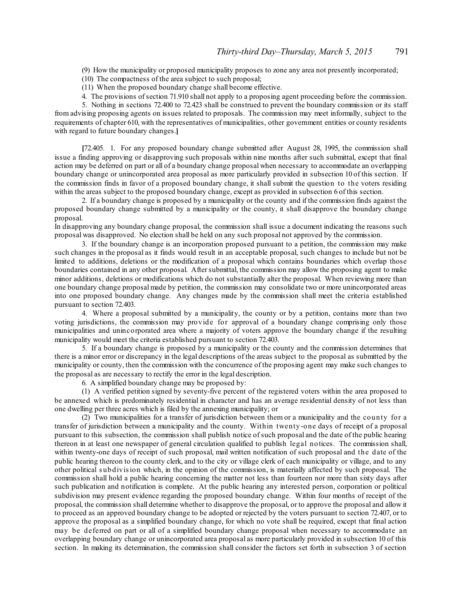(9) How the municipality or proposed municipality proposes to zone any area not presently incorporated;

(10) The compactness of the area subject to such proposal;

(11) When the proposed boundary change shall become effective.

4. The provisions ofsection 71.910 shall not apply to a proposing agent proceeding before the commission.

5. Nothing in sections 72.400 to 72.423 shall be construed to prevent the boundary commission or its staff from advising proposing agents on issues related to proposals. The commission may meet informally, subject to the requirements of chapter 610, with the representatives of municipalities, other government entities or county residents with regard to future boundary changes.**]**

**[**72.405. 1. For any proposed boundary change submitted after August 28, 1995, the commission shall issue a finding approving or disapproving such proposals within nine months after such submittal, except that final action may be deferred on part or all of a boundary change proposal when necessary to accommodate an overlapping boundary change or unincorporated area proposal as more particularly provided in subsection 10 of this section. If the commission finds in favor of a proposed boundary change, it shall submit the question to the voters residing within the areas subject to the proposed boundary change, except as provided in subsection 6 of this section.

2. If a boundary change is proposed by a municipality or the county and if the commission finds against the proposed boundary change submitted by a municipality or the county, it shall disapprove the boundary change proposal.

In disapproving any boundary change proposal, the commission shall issue a document indicating the reasons such proposal was disapproved. No election shall be held on any such proposal not approved by the commission.

3. If the boundary change is an incorporation proposed pursuant to a petition, the commission may make such changes in the proposal as it finds would result in an acceptable proposal, such changes to include but not be limited to additions, deletions or the modification of a proposal which contains boundaries which overlap those boundaries contained in any other proposal. Aftersubmittal, the commission may allow the proposing agent to make minor additions, deletions or modifications which do not substantially alter the proposal. When reviewing more than one boundary change proposal made by petition, the commission may consolidate two or more unincorporated areas into one proposed boundary change. Any changes made by the commission shall meet the criteria established pursuant to section 72.403.

4. Where a proposal submitted by a municipality, the county or by a petition, contains more than two voting jurisdictions, the commission may provide for approval of a boundary change comprising only those municipalities and unincorporated area where a majority of voters approve the boundary change if the resulting municipality would meet the criteria established pursuant to section 72.403.

5. If a boundary change is proposed by a municipality or the county and the commission determines that there is a minor error or discrepancy in the legal descriptions of the areas subject to the proposal as submitted by the municipality or county, then the commission with the concurrence of the proposing agent may make such changes to the proposal as are necessary to rectify the error in the legal description.

6. A simplified boundary change may be proposed by:

(1) A verified petition signed by seventy-five percent of the registered voters within the area proposed to be annexed which is predominately residential in character and has an average residential density of not less than one dwelling per three acres which is filed by the annexing municipality; or

(2) Two municipalities for a transfer of jurisdiction between them or a municipality and the county for a transfer of jurisdiction between a municipality and the county. Within twenty-one days of receipt of a proposal pursuant to this subsection, the commission shall publish notice ofsuch proposal and the date of the public hearing thereon in at least one newspaper of general circulation qualified to publish legal notices. The commission shall, within twenty-one days of receipt of such proposal, mail written notification of such proposal and the date of the public hearing thereon to the county clerk, and to the city or village clerk of each municipality or village, and to any other political s ubdivision which, in the opinion of the commission, is materially affected by such proposal. The commission shall hold a public hearing concerning the matter not less than fourteen nor more than sixty days after such publication and notification is complete. At the public hearing any interested person, corporation or political subdivision may present evidence regarding the proposed boundary change. Within four months of receipt of the proposal, the commission shall determine whether to disapprove the proposal, or to approve the proposal and allow it to proceed as an approved boundary change to be adopted or rejected by the voters pursuant to section 72.407, or to approve the proposal as a simplified boundary change, for which no vote shall be required, except that final action may be deferred on part or all of a simplified boundary change proposal when necessary to accommodate an overlapping boundary change or unincorporated area proposal as more particularly provided in subsection 10 of this section. In making its determination, the commission shall consider the factors set forth in subsection 3 of section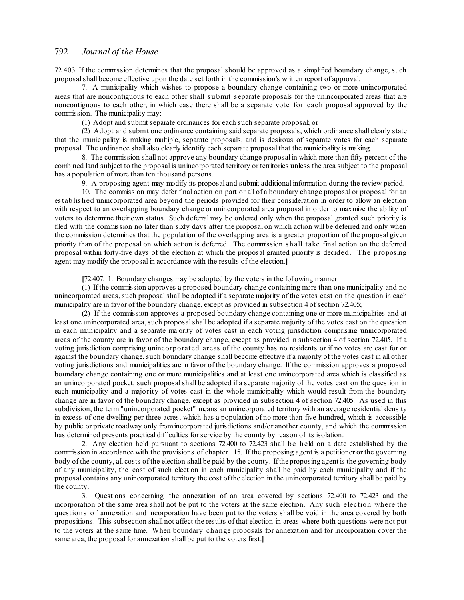72.403. If the commission determines that the proposal should be approved as a simplified boundary change, such proposalshall become effective upon the date set forth in the commission's written report of approval.

7. A municipality which wishes to propose a boundary change containing two or more unincorporated areas that are noncontiguous to each other shall s ubmit s eparate proposals for the unincorporated areas that are noncontiguous to each other, in which case there shall be a separate vote for each proposal approved by the commission. The municipality may:

(1) Adopt and submit separate ordinances for each such separate proposal; or

(2) Adopt and submit one ordinance containing said separate proposals, which ordinance shall clearly state that the municipality is making multiple, separate proposals, and is desirous of separate votes for each separate proposal. The ordinance shall also clearly identify each separate proposal that the municipality is making.

8. The commission shall not approve any boundary change proposal in which more than fifty percent of the combined land subject to the proposal is unincorporated territory or territories unless the area subject to the proposal has a population of more than ten thousand persons.

9. A proposing agent may modify its proposal and submit additional information during the review period.

10. The commission may defer final action on part or all of a boundary change proposal or proposal for an establis hed unincorporated area beyond the periods provided for their consideration in order to allow an election with respect to an overlapping boundary change or unincorporated area proposal in order to maximize the ability of voters to determine their own status. Such deferral may be ordered only when the proposal granted such priority is filed with the commission no later than sixty days after the proposal on which action will be deferred and only when the commission determines that the population of the overlapping area is a greater proportion of the proposal given priority than of the proposal on which action is deferred. The commission s hall take final action on the deferred proposal within forty-five days of the election at which the proposal granted priority is decided. The proposing agent may modify the proposal in accordance with the results of the election.**]**

**[**72.407. 1. Boundary changes may be adopted by the voters in the following manner:

(1) If the commission approves a proposed boundary change containing more than one municipality and no unincorporated areas, such proposalshall be adopted if a separate majority of the votes cast on the question in each municipality are in favor of the boundary change, except as provided in subsection 4 ofsection 72.405;

(2) If the commission approves a proposed boundary change containing one or more municipalities and at least one unincorporated area, such proposal shall be adopted if a separate majority of the votes cast on the question in each municipality and a separate majority of votes cast in each voting jurisdiction comprising unincorporated areas of the county are in favor of the boundary change, except as provided in subsection 4 of section 72.405. If a voting jurisdiction comprising unincorporated areas of the county has no residents or if no votes are cast for or against the boundary change, such boundary change shall become effective if a majority of the votes cast in all other voting jurisdictions and municipalities are in favor of the boundary change. If the commission approves a proposed boundary change containing one or more municipalities and at least one unincorporated area which is classified as an unincorporated pocket, such proposalshall be adopted if a separate majority of the votes cast on the question in each municipality and a majority of votes cast in the whole municipality which would result from the boundary change are in favor of the boundary change, except as provided in subsection 4 of section 72.405. As used in this subdivision, the term "unincorporated pocket" means an unincorporated territory with an average residential density in excess of one dwelling per three acres, which has a population of no more than five hundred, which is accessible by public or private roadway only fromincorporated jurisdictions and/or another county, and which the commission has determined presents practical difficulties forservice by the county by reason of its isolation.

2. Any election held pursuant to sections 72.400 to 72.423 shall be held on a date established by the commission in accordance with the provisions of chapter 115. If the proposing agent is a petitioner or the governing body of the county, all costs of the election shall be paid by the county. Ifthe proposing agent is the governing body of any municipality, the cost of such election in each municipality shall be paid by each municipality and if the proposal contains any unincorporated territory the cost ofthe election in the unincorporated territory shall be paid by the county.

3. Questions concerning the annexation of an area covered by sections 72.400 to 72.423 and the incorporation of the same area shall not be put to the voters at the same election. Any such election where the questions of annexation and incorporation have been put to the voters shall be void in the area covered by both propositions. This subsection shall not affect the results of that election in areas where both questions were not put to the voters at the same time. When boundary change proposals for annexation and for incorporation cover the same area, the proposal for annexation shall be put to the voters first.**]**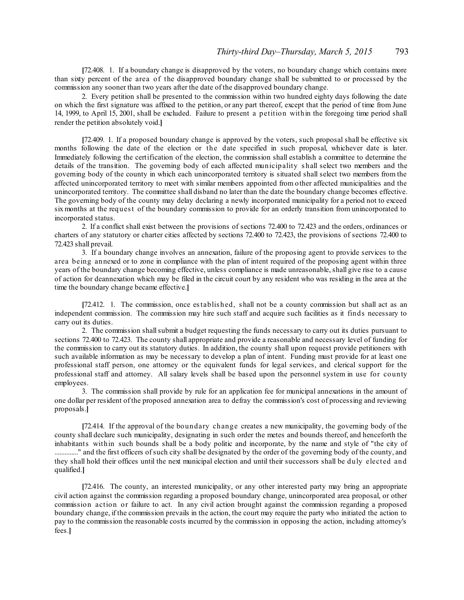**[**72.408. 1. If a boundary change is disapproved by the voters, no boundary change which contains more than sixty percent of the area of the disapproved boundary change shall be submitted to or processed by the commission any sooner than two years after the date of the disapproved boundary change.

2. Every petition shall be presented to the commission within two hundred eighty days following the date on which the first signature was affixed to the petition, or any part thereof, except that the period of time from June 14, 1999, to April 15, 2001, shall be excluded. Failure to present a petition within the foregoing time period shall render the petition absolutely void.**]**

**[**72.409. 1. If a proposed boundary change is approved by the voters, such proposal shall be effective six months following the date of the election or the date specified in such proposal, whichever date is later. Immediately following the certification of the election, the commission shall establish a committee to determine the details of the transition. The governing body of each affected municipality s hall select two members and the governing body of the county in which each unincorporated territory is situated shall select two members from the affected unincorporated territory to meet with similar members appointed from other affected municipalities and the unincorporated territory. The committee shall disband no later than the date the boundary change becomes effective. The governing body of the county may delay declaring a newly incorporated municipality for a period not to exceed six months at the request of the boundary commission to provide for an orderly transition from unincorporated to incorporated status.

2. If a conflict shall exist between the provisions of sections 72.400 to 72.423 and the orders, ordinances or charters of any statutory or charter cities affected by sections 72.400 to 72.423, the provisions of sections 72.400 to 72.423 shall prevail.

3. If a boundary change involves an annexation, failure of the proposing agent to provide services to the area being annexed or to zone in compliance with the plan of intent required of the proposing agent within three years of the boundary change becoming effective, unless compliance is made unreasonable, shall give rise to a cause of action for deannexation which may be filed in the circuit court by any resident who was residing in the area at the time the boundary change became effective.**]**

**[**72.412. 1. The commission, once establis hed, s hall not be a county commission but shall act as an independent commission. The commission may hire such staff and acquire such facilities as it finds necessary to carry out its duties.

2. The commission shallsubmit a budget requesting the funds necessary to carry out its duties pursuant to sections 72.400 to 72.423. The county shall appropriate and provide a reasonable and necessary level of funding for the commission to carry out its statutory duties. In addition, the county shall upon request provide petitioners with such available information as may be necessary to develop a plan of intent. Funding must provide for at least one professional staff person, one attorney or the equivalent funds for legal services, and clerical support for the professional staff and attorney. All salary levels shall be based upon the personnel system in use for county employees.

3. The commission shall provide by rule for an application fee for municipal annexations in the amount of one dollar per resident of the proposed annexation area to defray the commission's cost of processing and reviewing proposals.**]**

**[**72.414. If the approval of the boundary change creates a new municipality, the governing body of the county shall declare such municipality, designating in such order the metes and bounds thereof, and henceforth the inhabitants within such bounds shall be a body politic and incorporate, by the name and style of "the city of ................" and the first officers of such city shall be designated by the order of the governing body of the county, and they shall hold their offices until the next municipal election and until their successors shall be duly elected and qualified.**]**

**[**72.416. The county, an interested municipality, or any other interested party may bring an appropriate civil action against the commission regarding a proposed boundary change, unincorporated area proposal, or other commission action or failure to act. In any civil action brought against the commission regarding a proposed boundary change, if the commission prevails in the action, the court may require the party who initiated the action to pay to the commission the reasonable costs incurred by the commission in opposing the action, including attorney's fees.**]**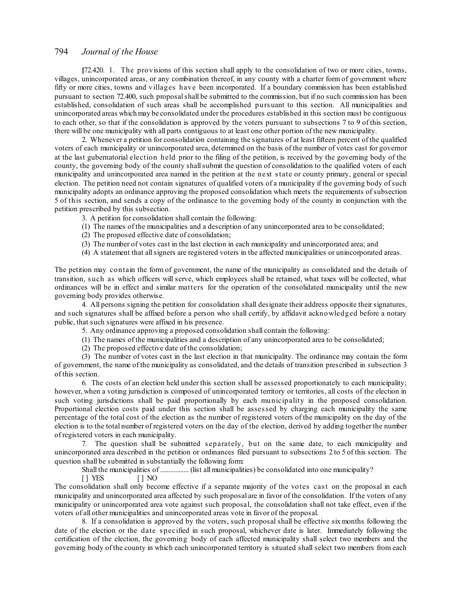**[**72.420. 1. The provisions of this section shall apply to the consolidation of two or more cities, towns, villages, unincorporated areas, or any combination thereof, in any county with a charter form of government where fifty or more cities, towns and villages have been incorporated. If a boundary commission has been established pursuant to section 72.400, such proposalshall be submitted to the commission, but if no such commission has been established, consolidation of such areas shall be accomplished purs uant to this section. All municipalities and unincorporated areas which may be consolidated under the procedures established in this section must be contiguous to each other, so that if the consolidation is approved by the voters pursuant to subsections 7 to 9 of this section, there will be one municipality with all parts contiguous to at least one other portion of the new municipality.

2. Whenever a petition for consolidation containing the signatures of at least fifteen percent of the qualified voters of each municipality or unincorporated area, determined on the basis of the number of votes cast for governor at the last gubernatorial election held prior to the filing of the petition, is received by the governing body of the county, the governing body of the county shallsubmit the question of consolidation to the qualified voters of each municipality and unincorporated area named in the petition at the next state or county primary, general or special election. The petition need not contain signatures of qualified voters of a municipality if the governing body ofsuch municipality adopts an ordinance approving the proposed consolidation which meets the requirements ofsubsection 5 of this section, and sends a copy of the ordinance to the governing body of the county in conjunction with the petition prescribed by this subsection.

3. A petition for consolidation shall contain the following:

- (1) The names of the municipalities and a description of any unincorporated area to be consolidated;
- (2) The proposed effective date of consolidation;
- (3) The number of votes cast in the last election in each municipality and unincorporated area; and
- (4) A statement that allsigners are registered voters in the affected municipalities or unincorporated areas.

The petition may contain the form of government, the name of the municipality as consolidated and the details of transition, s uch as which officers will serve, which employees shall be retained, what taxes will be collected, what ordinances will be in effect and similar matters for the operation of the consolidated municipality until the new governing body provides otherwise.

4. All persons signing the petition for consolidation shall designate their address opposite their signatures, and such signatures shall be affixed before a person who shall certify, by affidavit acknowledged before a notary public, that such signatures were affixed in his presence.

5. Any ordinance approving a proposed consolidation shall contain the following:

(1) The names of the municipalities and a description of any unincorporated area to be consolidated;

(2) The proposed effective date of the consolidation;

(3) The number of votes cast in the last election in that municipality. The ordinance may contain the form of government, the name of the municipality as consolidated, and the details of transition prescribed in subsection 3 of this section.

6. The costs of an election held under this section shall be assessed proportionately to each municipality; however, when a voting jurisdiction is composed of unincorporated territory or territories, all costs of the election in such voting jurisdictions shall be paid proportionally by each municipality in the proposed consolidation. Proportional election costs paid under this section shall be assessed by charging each municipality the same percentage of the total cost of the election as the number of registered voters of the municipality on the day of the election is to the total number of registered voters on the day of the election, derived by adding together the number of registered voters in each municipality.

7. The question shall be submitted separately, but on the same date, to each municipality and unincorporated area described in the petition or ordinances filed pursuant to subsections 2 to 5 of this section. The question shall be submitted in substantially the following form:

Shall the municipalities of ................. (list all municipalities) be consolidated into one municipality?

[ ] YES [ ] NO

The consolidation shall only become effective if a separate majority of the votes cast on the proposal in each municipality and unincorporated area affected by such proposal are in favor of the consolidation. If the voters of any municipality or unincorporated area vote against such proposal, the consolidation shall not take effect, even if the voters of all other municipalities and unincorporated areas vote in favor of the proposal.

8. If a consolidation is approved by the voters, such proposal shall be effective six months following the date of the election or the date s pecified in such proposal, whichever date is later. Immediately following the certification of the election, the governing body of each affected municipality shall select two members and the governing body of the county in which each unincorporated territory is situated shall select two members from each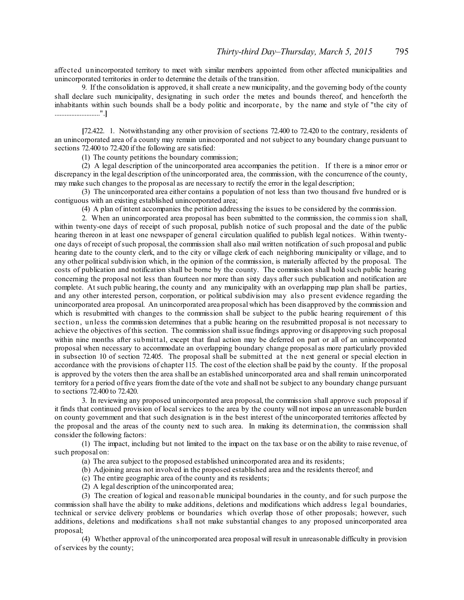affected unincorporated territory to meet with similar members appointed from other affected municipalities and unincorporated territories in order to determine the details of the transition.

9. If the consolidation is approved, it shall create a new municipality, and the governing body of the county shall declare such municipality, designating in such order the metes and bounds thereof, and henceforth the inhabitants within such bounds shall be a body politic and incorporate, by the name and style of "the city of ...........................".**]**

**[**72.422. 1. Notwithstanding any other provision of sections 72.400 to 72.420 to the contrary, residents of an unincorporated area of a county may remain unincorporated and not subject to any boundary change pursuant to sections 72.400 to 72.420 if the following are satisfied:

(1) The county petitions the boundary commission;

(2) A legal description of the unincorporated area accompanies the petition. If there is a minor error or discrepancy in the legal description of the unincorporated area, the commission, with the concurrence of the county, may make such changes to the proposal as are necessary to rectify the error in the legal description;

(3) The unincorporated area either contains a population of not less than two thousand five hundred or is contiguous with an existing established unincorporated area;

(4) A plan of intent accompanies the petition addressing the issues to be considered by the commission.

2. When an unincorporated area proposal has been submitted to the commission, the commission shall, within twenty-one days of receipt of such proposal, publish notice of such proposal and the date of the public hearing thereon in at least one newspaper of general circulation qualified to publish legal notices. Within twentyone days of receipt ofsuch proposal, the commission shall also mail written notification of such proposal and public hearing date to the county clerk, and to the city or village clerk of each neighboring municipality or village, and to any other political subdivision which, in the opinion of the commission, is materially affected by the proposal. The costs of publication and notification shall be borne by the county. The commission shall hold such public hearing concerning the proposal not less than fourteen nor more than sixty days aftersuch publication and notification are complete. At such public hearing, the county and any municipality with an overlapping map plan shall be parties, and any other interested person, corporation, or political subdivision may als o present evidence regarding the unincorporated area proposal. An unincorporated area proposal which has been disapproved by the commission and which is resubmitted with changes to the commission shall be subject to the public hearing requirement of this section, unless the commission determines that a public hearing on the resubmitted proposal is not necessary to achieve the objectives of this section. The commission shall issue findings approving or disapproving such proposal within nine months after submittal, except that final action may be deferred on part or all of an unincorporated proposal when necessary to accommodate an overlapping boundary change proposal as more particularly provided in subsection 10 of section 72.405. The proposal shall be submitted at the next general or special election in accordance with the provisions of chapter 115. The cost of the election shall be paid by the county. If the proposal is approved by the voters then the area shall be an established unincorporated area and shall remain unincorporated territory for a period offive years fromthe date of the vote and shall not be subject to any boundary change pursuant to sections 72.400 to 72.420.

3. In reviewing any proposed unincorporated area proposal, the commission shall approve such proposal if it finds that continued provision of local services to the area by the county will not impose an unreasonable burden on county government and that such designation is in the best interest of the unincorporated territories affected by the proposal and the areas of the county next to such area. In making its determination, the commission shall consider the following factors:

(1) The impact, including but not limited to the impact on the tax base or on the ability to raise revenue, of such proposal on:

- (a) The area subject to the proposed established unincorporated area and its residents;
- (b) Adjoining areas not involved in the proposed established area and the residents thereof; and
- (c) The entire geographic area of the county and its residents;
- (2) A legal description of the unincorporated area;

(3) The creation of logical and reasonable municipal boundaries in the county, and for such purpose the commission shall have the ability to make additions, deletions and modifications which address legal boundaries, technical or service delivery problems or boundaries which overlap those of other proposals; however, such additions, deletions and modifications s hall not make substantial changes to any proposed unincorporated area proposal;

(4) Whether approval of the unincorporated area proposal will result in unreasonable difficulty in provision ofservices by the county;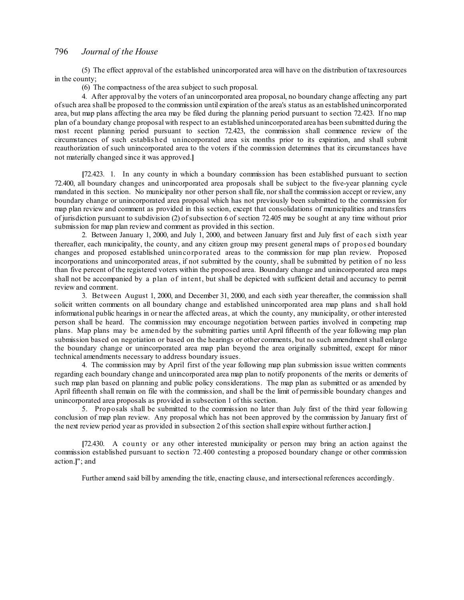(5) The effect approval of the established unincorporated area will have on the distribution of taxresources in the county;

(6) The compactness of the area subject to such proposal.

4. After approval by the voters of an unincorporated area proposal, no boundary change affecting any part ofsuch area shall be proposed to the commission until expiration of the area's status as an established unincorporated area, but map plans affecting the area may be filed during the planning period pursuant to section 72.423. If no map plan of a boundary change proposal with respect to an established unincorporated area has been submitted during the most recent planning period pursuant to section 72.423, the commission shall commence review of the circumstances of such establis hed unincorporated area six months prior to its expiration, and shall submit reauthorization of such unincorporated area to the voters if the commission determines that its circumstances have not materially changed since it was approved.**]**

**[**72.423. 1. In any county in which a boundary commission has been established pursuant to section 72.400, all boundary changes and unincorporated area proposals shall be subject to the five-year planning cycle mandated in this section. No municipality nor other person shallfile, norshall the commission accept or review, any boundary change or unincorporated area proposal which has not previously been submitted to the commission for map plan review and comment as provided in this section, except that consolidations of municipalities and transfers of jurisdiction pursuant to subdivision (2) ofsubsection 6 of section 72.405 may be sought at any time without prior submission for map plan review and comment as provided in this section.

2. Between January 1, 2000, and July 1, 2000, and between January first and July first of each sixth year thereafter, each municipality, the county, and any citizen group may present general maps of propos ed boundary changes and proposed established unincorporated areas to the commission for map plan review. Proposed incorporations and unincorporated areas, if not submitted by the county, shall be submitted by petition of no less than five percent of the registered voters within the proposed area. Boundary change and unincorporated area maps shall not be accompanied by a plan of intent, but shall be depicted with sufficient detail and accuracy to permit review and comment.

3. Between August 1, 2000, and December 31, 2000, and each sixth year thereafter, the commission shall solicit written comments on all boundary change and established unincorporated area map plans and s hall hold informational public hearings in or near the affected areas, at which the county, any municipality, or other interested person shall be heard. The commission may encourage negotiation between parties involved in competing map plans. Map plans may be amended by the submitting parties until April fifteenth of the year following map plan submission based on negotiation or based on the hearings or other comments, but no such amendment shall enlarge the boundary change or unincorporated area map plan beyond the area originally submitted, except for minor technical amendments necessary to address boundary issues.

4. The commission may by April first of the year following map plan submission issue written comments regarding each boundary change and unincorporated area map plan to notify proponents of the merits or demerits of such map plan based on planning and public policy considerations. The map plan as submitted or as amended by April fifteenth shall remain on file with the commission, and shall be the limit of permissible boundary changes and unincorporated area proposals as provided in subsection 1 of this section.

5. Proposals shall be submitted to the commission no later than July first of the third year following conclusion of map plan review. Any proposal which has not been approved by the commission by January first of the next review period year as provided in subsection 2 of this section shall expire without further action.**]**

**[**72.430. A county or any other interested municipality or person may bring an action against the commission established pursuant to section 72.400 contesting a proposed boundary change or other commission action.**]**"; and

Further amend said bill by amending the title, enacting clause, and intersectional references accordingly.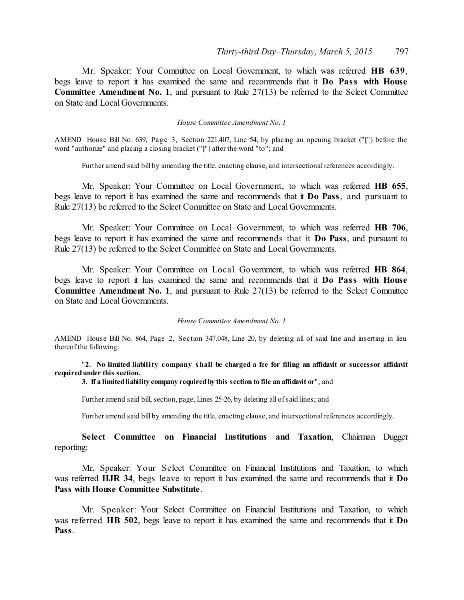Mr. Speaker: Your Committee on Local Government, to which was referred **HB 639**, begs leave to report it has examined the same and recommends that it **Do Pass with House Committee Amendment No. 1**, and pursuant to Rule 27(13) be referred to the Select Committee on State and Local Governments.

*House Committee Amendment No. 1*

AMEND House Bill No. 639, Page 3, Section 221.407, Line 54, by placing an opening bracket ("**[**") before the word "authorize" and placing a closing bracket ("**]**") after the word "to"; and

Further amend said bill by amending the title, enacting clause, and intersectional references accordingly.

Mr. Speaker: Your Committee on Local Government, to which was referred **HB 655**, begs leave to report it has examined the same and recommends that it **Do Pass**, and pursuant to Rule 27(13) be referred to the Select Committee on State and Local Governments.

Mr. Speaker: Your Committee on Local Government, to which was referred **HB 706**, begs leave to report it has examined the same and recommends that it **Do Pass**, and pursuant to Rule 27(13) be referred to the Select Committee on State and Local Governments.

Mr. Speaker: Your Committee on Local Government, to which was referred **HB 864**, begs leave to report it has examined the same and recommends that it **Do Pass with House Committee Amendment No. 1**, and pursuant to Rule 27(13) be referred to the Select Committee on State and Local Governments.

#### *House Committee Amendment No. 1*

AMEND House Bill No. 864, Page 2, Section 347.048, Line 20, by deleting all of said line and inserting in lieu thereof the following:

"**2. No limited liability company shall be charged a fee for filing an affidavit or successor affidavit requiredunder this section.**

#### **3. If a limitedliability company requiredby this section to file an affidavit or**"; and

Further amend said bill, section, page, Lines 25-26, by deleting all of said lines; and

Further amend said bill by amending the title, enacting clause, and intersectional references accordingly.

**Select Committee on Financial Institutions and Taxation**, Chairman Dugger reporting:

Mr. Speaker: Your Select Committee on Financial Institutions and Taxation, to which was referred **HJR 34**, begs leave to report it has examined the same and recommends that it **Do Pass with House Committee Substitute**.

Mr. Speaker: Your Select Committee on Financial Institutions and Taxation, to which was referred **HB 502**, begs leave to report it has examined the same and recommends that it **Do Pass**.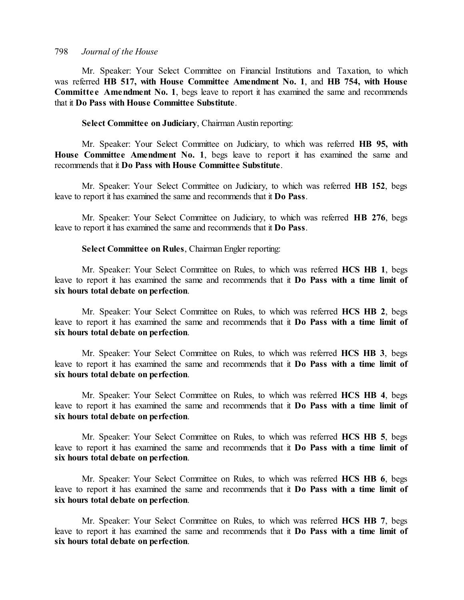Mr. Speaker: Your Select Committee on Financial Institutions and Taxation, to which was referred **HB 517, with House Committee Amendment No. 1**, and **HB 754, with House Committee Amendment No. 1, begs leave to report it has examined the same and recommends** that it **Do Pass with House Committee Substitute**.

**Select Committee on Judiciary**, Chairman Austin reporting:

Mr. Speaker: Your Select Committee on Judiciary, to which was referred **HB 95, with House Committee Amendment No. 1**, begs leave to report it has examined the same and recommends that it **Do Pass with House Committee Substitute**.

Mr. Speaker: Your Select Committee on Judiciary, to which was referred **HB 152**, begs leave to report it has examined the same and recommends that it **Do Pass**.

Mr. Speaker: Your Select Committee on Judiciary, to which was referred **HB 276**, begs leave to report it has examined the same and recommends that it **Do Pass**.

#### **Select Committee on Rules**, Chairman Engler reporting:

Mr. Speaker: Your Select Committee on Rules, to which was referred **HCS HB 1**, begs leave to report it has examined the same and recommends that it **Do Pass with a time limit of six hours total debate on perfection**.

Mr. Speaker: Your Select Committee on Rules, to which was referred **HCS HB 2**, begs leave to report it has examined the same and recommends that it **Do Pass with a time limit of six hours total debate on perfection**.

Mr. Speaker: Your Select Committee on Rules, to which was referred **HCS HB 3**, begs leave to report it has examined the same and recommends that it **Do Pass with a time limit of six hours total debate on perfection**.

Mr. Speaker: Your Select Committee on Rules, to which was referred **HCS HB 4**, begs leave to report it has examined the same and recommends that it **Do Pass with a time limit of six hours total debate on perfection**.

Mr. Speaker: Your Select Committee on Rules, to which was referred **HCS HB 5**, begs leave to report it has examined the same and recommends that it **Do Pass with a time limit of six hours total debate on perfection**.

Mr. Speaker: Your Select Committee on Rules, to which was referred **HCS HB 6**, begs leave to report it has examined the same and recommends that it **Do Pass with a time limit of six hours total debate on perfection**.

Mr. Speaker: Your Select Committee on Rules, to which was referred **HCS HB 7**, begs leave to report it has examined the same and recommends that it **Do Pass with a time limit of six hours total debate on perfection**.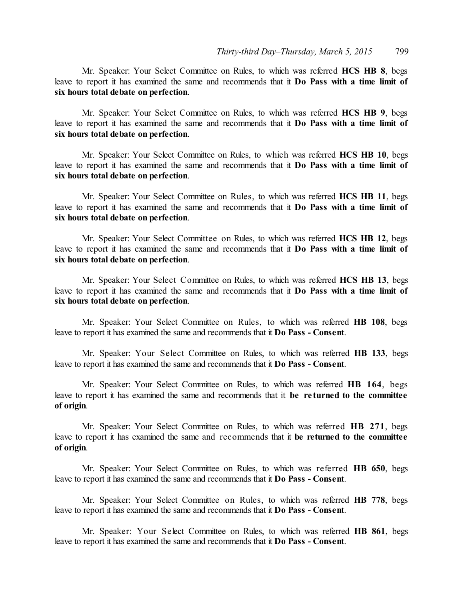Mr. Speaker: Your Select Committee on Rules, to which was referred **HCS HB 8**, begs leave to report it has examined the same and recommends that it **Do Pass with a time limit of six hours total debate on perfection**.

Mr. Speaker: Your Select Committee on Rules, to which was referred **HCS HB 9**, begs leave to report it has examined the same and recommends that it **Do Pass with a time limit of six hours total debate on perfection**.

Mr. Speaker: Your Select Committee on Rules, to which was referred **HCS HB 10**, begs leave to report it has examined the same and recommends that it **Do Pass with a time limit of six hours total debate on perfection**.

Mr. Speaker: Your Select Committee on Rules, to which was referred **HCS HB 11**, begs leave to report it has examined the same and recommends that it **Do Pass with a time limit of six hours total debate on perfection**.

Mr. Speaker: Your Select Committee on Rules, to which was referred **HCS HB 12**, begs leave to report it has examined the same and recommends that it **Do Pass with a time limit of six hours total debate on perfection**.

Mr. Speaker: Your Select Committee on Rules, to which was referred **HCS HB 13**, begs leave to report it has examined the same and recommends that it **Do Pass with a time limit of six hours total debate on perfection**.

Mr. Speaker: Your Select Committee on Rules, to which was referred **HB 108**, begs leave to report it has examined the same and recommends that it **Do Pass - Consent**.

Mr. Speaker: Your Select Committee on Rules, to which was referred **HB 133**, begs leave to report it has examined the same and recommends that it **Do Pass - Consent**.

Mr. Speaker: Your Select Committee on Rules, to which was referred **HB 164**, begs leave to report it has examined the same and recommends that it **be re turned to the committee of origin**.

Mr. Speaker: Your Select Committee on Rules, to which was referred **HB 271**, begs leave to report it has examined the same and recommends that it **be returned to the committee of origin**.

Mr. Speaker: Your Select Committee on Rules, to which was referred **HB 650**, begs leave to report it has examined the same and recommends that it **Do Pass - Consent**.

Mr. Speaker: Your Select Committee on Rules, to which was referred **HB 778**, begs leave to report it has examined the same and recommends that it **Do Pass - Consent**.

Mr. Speaker: Your Select Committee on Rules, to which was referred **HB 861**, begs leave to report it has examined the same and recommends that it **Do Pass - Consent**.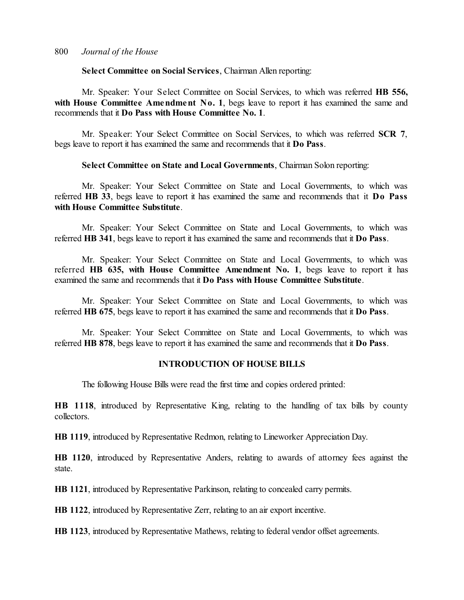#### **Select Committee on Social Services**, Chairman Allen reporting:

Mr. Speaker: Your Select Committee on Social Services, to which was referred **HB 556, with House Committee Amendment No. 1**, begs leave to report it has examined the same and recommends that it **Do Pass with House Committee No. 1**.

Mr. Speaker: Your Select Committee on Social Services, to which was referred **SCR 7**, begs leave to report it has examined the same and recommends that it **Do Pass**.

#### **Select Committee on State and Local Governments**, Chairman Solon reporting:

Mr. Speaker: Your Select Committee on State and Local Governments, to which was referred **HB 33**, begs leave to report it has examined the same and recommends that it **Do Pass with House Committee Substitute**.

Mr. Speaker: Your Select Committee on State and Local Governments, to which was referred **HB 341**, begs leave to report it has examined the same and recommends that it **Do Pass**.

Mr. Speaker: Your Select Committee on State and Local Governments, to which was referred **HB 635, with House Committee Amendment No. 1**, begs leave to report it has examined the same and recommends that it **Do Pass with House Committee Substitute**.

Mr. Speaker: Your Select Committee on State and Local Governments, to which was referred **HB 675**, begs leave to report it has examined the same and recommends that it **Do Pass**.

Mr. Speaker: Your Select Committee on State and Local Governments, to which was referred **HB 878**, begs leave to report it has examined the same and recommends that it **Do Pass**.

# **INTRODUCTION OF HOUSE BILLS**

The following House Bills were read the first time and copies ordered printed:

**HB 1118**, introduced by Representative King, relating to the handling of tax bills by county collectors.

**HB 1119**, introduced by Representative Redmon, relating to Lineworker Appreciation Day.

**HB 1120**, introduced by Representative Anders, relating to awards of attorney fees against the state.

**HB 1121**, introduced by Representative Parkinson, relating to concealed carry permits.

**HB 1122**, introduced by Representative Zerr, relating to an air export incentive.

**HB 1123**, introduced by Representative Mathews, relating to federal vendor offset agreements.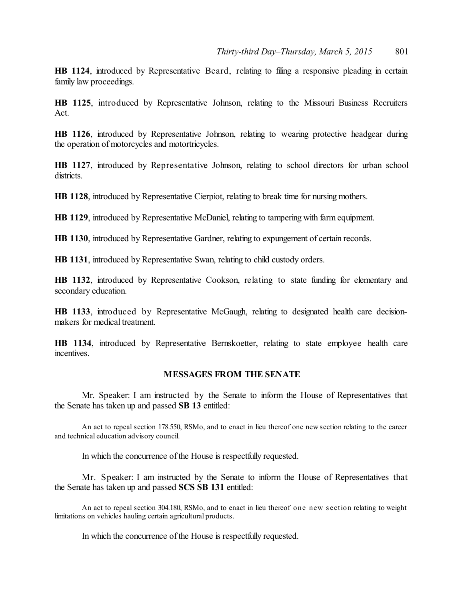**HB 1124**, introduced by Representative Beard, relating to filing a responsive pleading in certain family law proceedings.

**HB 1125**, introduced by Representative Johnson, relating to the Missouri Business Recruiters Act.

**HB 1126**, introduced by Representative Johnson, relating to wearing protective headgear during the operation of motorcycles and motortricycles.

**HB 1127**, introduced by Representative Johnson, relating to school directors for urban school districts.

**HB 1128**, introduced by Representative Cierpiot, relating to break time for nursing mothers.

**HB 1129**, introduced by Representative McDaniel, relating to tampering with farm equipment.

**HB 1130**, introduced by Representative Gardner, relating to expungement of certain records.

**HB 1131**, introduced by Representative Swan, relating to child custody orders.

**HB 1132**, introduced by Representative Cookson, relating to state funding for elementary and secondary education.

**HB 1133**, introduced by Representative McGaugh, relating to designated health care decisionmakers for medical treatment.

**HB 1134**, introduced by Representative Bernskoetter, relating to state employee health care incentives.

#### **MESSAGES FROM THE SENATE**

Mr. Speaker: I am instructed by the Senate to inform the House of Representatives that the Senate has taken up and passed **SB 13** entitled:

An act to repeal section 178.550, RSMo, and to enact in lieu thereof one new section relating to the career and technical education advisory council.

In which the concurrence of the House is respectfully requested.

Mr. Speaker: I am instructed by the Senate to inform the House of Representatives that the Senate has taken up and passed **SCS SB 131** entitled:

An act to repeal section 304.180, RSMo, and to enact in lieu thereof one new s ection relating to weight limitations on vehicles hauling certain agricultural products.

In which the concurrence of the House is respectfully requested.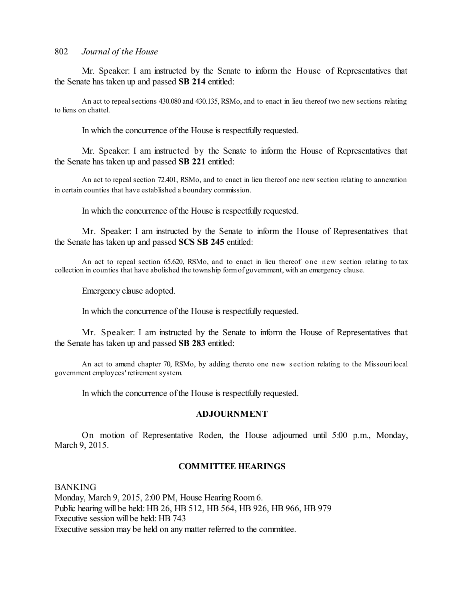Mr. Speaker: I am instructed by the Senate to inform the House of Representatives that the Senate has taken up and passed **SB 214** entitled:

An act to repealsections 430.080 and 430.135, RSMo, and to enact in lieu thereof two new sections relating to liens on chattel.

In which the concurrence of the House is respectfully requested.

Mr. Speaker: I am instructed by the Senate to inform the House of Representatives that the Senate has taken up and passed **SB 221** entitled:

An act to repeal section 72.401, RSMo, and to enact in lieu thereof one new section relating to annexation in certain counties that have established a boundary commission.

In which the concurrence of the House is respectfully requested.

Mr. Speaker: I am instructed by the Senate to inform the House of Representatives that the Senate has taken up and passed **SCS SB 245** entitled:

An act to repeal section 65.620, RSMo, and to enact in lieu thereof one new section relating to tax collection in counties that have abolished the township formof government, with an emergency clause.

Emergency clause adopted.

In which the concurrence of the House is respectfully requested.

Mr. Speaker: I am instructed by the Senate to inform the House of Representatives that the Senate has taken up and passed **SB 283** entitled:

An act to amend chapter 70, RSMo, by adding thereto one new s ection relating to the Missouri local government employees' retirement system.

In which the concurrence of the House is respectfully requested.

#### **ADJOURNMENT**

On motion of Representative Roden, the House adjourned until 5:00 p.m., Monday, March 9, 2015.

#### **COMMITTEE HEARINGS**

BANKING

Monday, March 9, 2015, 2:00 PM, House Hearing Room 6. Public hearing will be held: HB 26, HB 512, HB 564, HB 926, HB 966, HB 979 Executive session will be held: HB 743 Executive session may be held on any matter referred to the committee.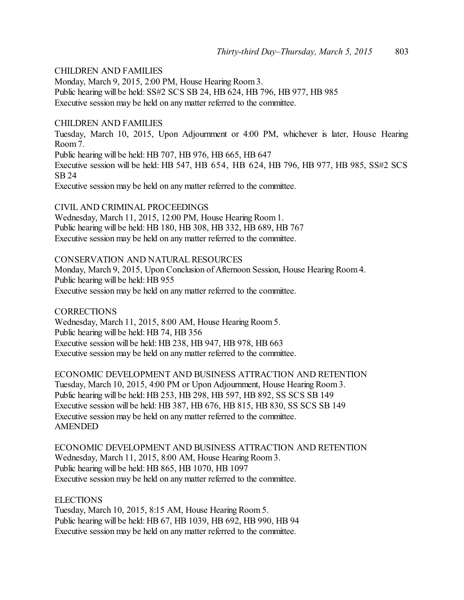# CHILDREN AND FAMILIES

Monday, March 9, 2015, 2:00 PM, House Hearing Room 3. Public hearing will be held: SS#2 SCS SB 24, HB 624, HB 796, HB 977, HB 985 Executive session may be held on any matter referred to the committee.

#### CHILDREN AND FAMILIES

Tuesday, March 10, 2015, Upon Adjournment or 4:00 PM, whichever is later, House Hearing Room 7.

Public hearing will be held: HB 707, HB 976, HB 665, HB 647

Executive session will be held: HB 547, HB 654, HB 624, HB 796, HB 977, HB 985, SS#2 SCS SB 24

Executive session may be held on any matter referred to the committee.

#### CIVIL AND CRIMINAL PROCEEDINGS

Wednesday, March 11, 2015, 12:00 PM, House Hearing Room1. Public hearing will be held: HB 180, HB 308, HB 332, HB 689, HB 767 Executive session may be held on any matter referred to the committee.

## CONSERVATION AND NATURAL RESOURCES

Monday, March 9, 2015, Upon Conclusion of Afternoon Session, House Hearing Room 4. Public hearing will be held: HB 955 Executive session may be held on any matter referred to the committee.

**CORRECTIONS** 

Wednesday, March 11, 2015, 8:00 AM, House Hearing Room5. Public hearing will be held: HB 74, HB 356 Executive session will be held: HB 238, HB 947, HB 978, HB 663 Executive session may be held on any matter referred to the committee.

ECONOMIC DEVELOPMENT AND BUSINESS ATTRACTION AND RETENTION Tuesday, March 10, 2015, 4:00 PM or Upon Adjournment, House Hearing Room3. Public hearing will be held: HB 253, HB 298, HB 597, HB 892, SS SCS SB 149 Executive session will be held: HB 387, HB 676, HB 815, HB 830, SS SCS SB 149 Executive session may be held on any matter referred to the committee. AMENDED

ECONOMIC DEVELOPMENT AND BUSINESS ATTRACTION AND RETENTION Wednesday, March 11, 2015, 8:00 AM, House Hearing Room3. Public hearing will be held: HB 865, HB 1070, HB 1097 Executive session may be held on any matter referred to the committee.

# **ELECTIONS**

Tuesday, March 10, 2015, 8:15 AM, House Hearing Room 5. Public hearing will be held: HB 67, HB 1039, HB 692, HB 990, HB 94 Executive session may be held on any matter referred to the committee.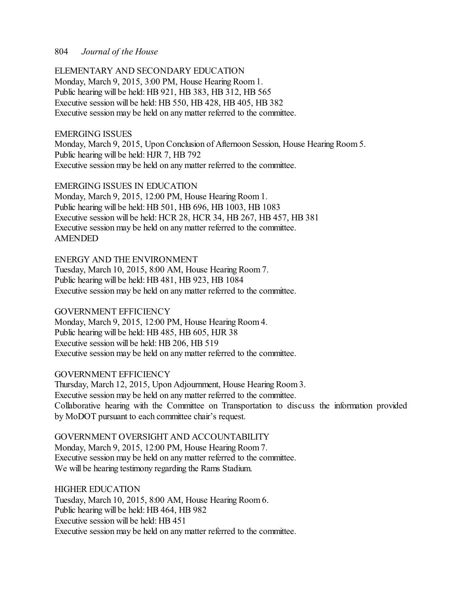ELEMENTARY AND SECONDARY EDUCATION

Monday, March 9, 2015, 3:00 PM, House Hearing Room 1. Public hearing will be held: HB 921, HB 383, HB 312, HB 565 Executive session will be held: HB 550, HB 428, HB 405, HB 382 Executive session may be held on any matter referred to the committee.

#### EMERGING ISSUES

Monday, March 9, 2015, Upon Conclusion of Afternoon Session, House Hearing Room 5. Public hearing will be held: HJR 7, HB 792 Executive session may be held on any matter referred to the committee.

#### EMERGING ISSUES IN EDUCATION

Monday, March 9, 2015, 12:00 PM, House Hearing Room 1. Public hearing will be held: HB 501, HB 696, HB 1003, HB 1083 Executive session will be held: HCR 28, HCR 34, HB 267, HB 457, HB 381 Executive session may be held on any matter referred to the committee. AMENDED

# ENERGY AND THE ENVIRONMENT

Tuesday, March 10, 2015, 8:00 AM, House Hearing Room 7. Public hearing will be held: HB 481, HB 923, HB 1084 Executive session may be held on any matter referred to the committee.

# GOVERNMENT EFFICIENCY

Monday, March 9, 2015, 12:00 PM, House Hearing Room 4. Public hearing will be held: HB 485, HB 605, HJR 38 Executive session will be held: HB 206, HB 519 Executive session may be held on any matter referred to the committee.

# GOVERNMENT EFFICIENCY

Thursday, March 12, 2015, Upon Adjournment, House Hearing Room3. Executive session may be held on any matter referred to the committee. Collaborative hearing with the Committee on Transportation to discuss the information provided by MoDOT pursuant to each committee chair's request.

#### GOVERNMENT OVERSIGHT AND ACCOUNTABILITY

Monday, March 9, 2015, 12:00 PM, House Hearing Room 7. Executive session may be held on any matter referred to the committee. We will be hearing testimony regarding the Rams Stadium.

#### HIGHER EDUCATION

Tuesday, March 10, 2015, 8:00 AM, House Hearing Room 6. Public hearing will be held: HB 464, HB 982 Executive session will be held: HB 451 Executive session may be held on any matter referred to the committee.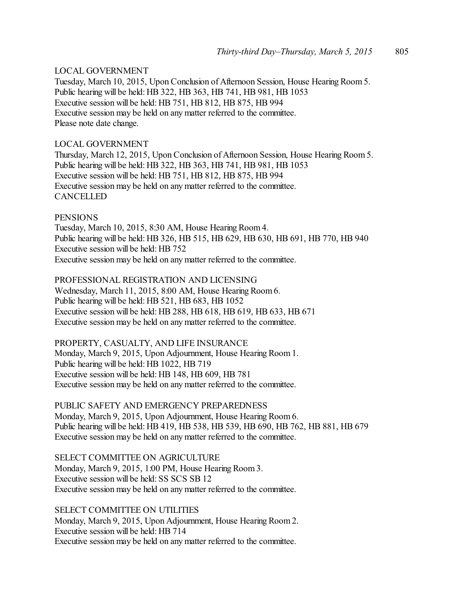# LOCAL GOVERNMENT

Tuesday, March 10, 2015, Upon Conclusion of Afternoon Session, House Hearing Room 5. Public hearing will be held: HB 322, HB 363, HB 741, HB 981, HB 1053 Executive session will be held: HB 751, HB 812, HB 875, HB 994 Executive session may be held on any matter referred to the committee. Please note date change.

#### LOCAL GOVERNMENT

Thursday, March 12, 2015, Upon Conclusion of Afternoon Session, House Hearing Room 5. Public hearing will be held: HB 322, HB 363, HB 741, HB 981, HB 1053 Executive session will be held: HB 751, HB 812, HB 875, HB 994 Executive session may be held on any matter referred to the committee. **CANCELLED** 

#### PENSIONS

Tuesday, March 10, 2015, 8:30 AM, House Hearing Room 4. Public hearing will be held: HB 326, HB 515, HB 629, HB 630, HB 691, HB 770, HB 940 Executive session will be held: HB 752 Executive session may be held on any matter referred to the committee.

PROFESSIONAL REGISTRATION AND LICENSING

Wednesday, March 11, 2015, 8:00 AM, House Hearing Room6. Public hearing will be held: HB 521, HB 683, HB 1052 Executive session will be held: HB 288, HB 618, HB 619, HB 633, HB 671 Executive session may be held on any matter referred to the committee.

PROPERTY, CASUALTY, AND LIFE INSURANCE Monday, March 9, 2015, Upon Adjournment, House Hearing Room 1. Public hearing will be held: HB 1022, HB 719 Executive session will be held: HB 148, HB 609, HB 781 Executive session may be held on any matter referred to the committee.

PUBLIC SAFETY AND EMERGENCY PREPAREDNESS Monday, March 9, 2015, Upon Adjournment, House Hearing Room 6. Public hearing will be held: HB 419, HB 538, HB 539, HB 690, HB 762, HB 881, HB 679 Executive session may be held on any matter referred to the committee.

SELECT COMMITTEE ON AGRICULTURE Monday, March 9, 2015, 1:00 PM, House Hearing Room 3. Executive session will be held: SS SCS SB 12 Executive session may be held on any matter referred to the committee.

SELECT COMMITTEE ON UTILITIES Monday, March 9, 2015, Upon Adjournment, House Hearing Room 2. Executive session will be held: HB 714 Executive session may be held on any matter referred to the committee.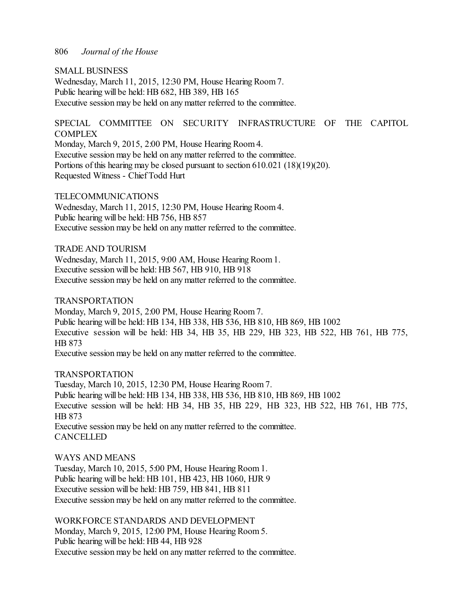SMALL BUSINESS Wednesday, March 11, 2015, 12:30 PM, House Hearing Room7. Public hearing will be held: HB 682, HB 389, HB 165 Executive session may be held on any matter referred to the committee.

# SPECIAL COMMITTEE ON SECURITY INFRASTRUCTURE OF THE CAPITOL **COMPLEX**

Monday, March 9, 2015, 2:00 PM, House Hearing Room 4. Executive session may be held on any matter referred to the committee. Portions of this hearing may be closed pursuant to section 610.021 (18)(19)(20). Requested Witness - Chief Todd Hurt

#### TELECOMMUNICATIONS

Wednesday, March 11, 2015, 12:30 PM, House Hearing Room4. Public hearing will be held: HB 756, HB 857 Executive session may be held on any matter referred to the committee.

## TRADE AND TOURISM

Wednesday, March 11, 2015, 9:00 AM, House Hearing Room1. Executive session will be held: HB 567, HB 910, HB 918 Executive session may be held on any matter referred to the committee.

#### TRANSPORTATION

Monday, March 9, 2015, 2:00 PM, House Hearing Room 7. Public hearing will be held: HB 134, HB 338, HB 536, HB 810, HB 869, HB 1002 Executive session will be held: HB 34, HB 35, HB 229, HB 323, HB 522, HB 761, HB 775, HB 873 Executive session may be held on any matter referred to the committee.

#### TRANSPORTATION

Tuesday, March 10, 2015, 12:30 PM, House Hearing Room 7. Public hearing will be held: HB 134, HB 338, HB 536, HB 810, HB 869, HB 1002 Executive session will be held: HB 34, HB 35, HB 229, HB 323, HB 522, HB 761, HB 775, HB 873 Executive session may be held on any matter referred to the committee. **CANCELLED** 

#### WAYS AND MEANS

Tuesday, March 10, 2015, 5:00 PM, House Hearing Room 1. Public hearing will be held: HB 101, HB 423, HB 1060, HJR 9 Executive session will be held: HB 759, HB 841, HB 811 Executive session may be held on any matter referred to the committee.

WORKFORCE STANDARDS AND DEVELOPMENT Monday, March 9, 2015, 12:00 PM, House Hearing Room 5. Public hearing will be held: HB 44, HB 928 Executive session may be held on any matter referred to the committee.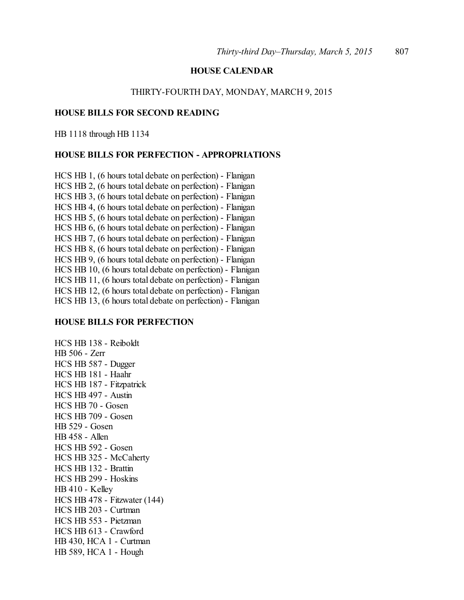# **HOUSE CALENDAR**

#### THIRTY-FOURTH DAY, MONDAY, MARCH 9, 2015

#### **HOUSE BILLS FOR SECOND READING**

HB 1118 through HB 1134

## **HOUSE BILLS FOR PERFECTION - APPROPRIATIONS**

HCS HB 1, (6 hours total debate on perfection) - Flanigan HCS HB 2, (6 hours total debate on perfection) - Flanigan HCS HB 3, (6 hours total debate on perfection) - Flanigan HCS HB 4, (6 hours total debate on perfection) - Flanigan HCS HB 5, (6 hours total debate on perfection) - Flanigan HCS HB 6, (6 hours total debate on perfection) - Flanigan HCS HB 7, (6 hours total debate on perfection) - Flanigan HCS HB 8, (6 hours total debate on perfection) - Flanigan HCS HB 9, (6 hours total debate on perfection) - Flanigan HCS HB 10, (6 hours total debate on perfection) - Flanigan HCS HB 11, (6 hours total debate on perfection) - Flanigan HCS HB 12, (6 hours total debate on perfection) - Flanigan HCS HB 13, (6 hours total debate on perfection) - Flanigan

#### **HOUSE BILLS FOR PERFECTION**

HCS HB 138 - Reiboldt HB 506 - Zerr HCS HB 587 - Dugger HCS HB 181 - Haahr HCS HB 187 - Fitzpatrick HCS HB 497 - Austin HCS HB 70 - Gosen HCS HB 709 - Gosen HB 529 - Gosen HB 458 - Allen HCS HB 592 - Gosen HCS HB 325 - McCaherty HCS HB 132 - Brattin HCS HB 299 - Hoskins HB 410 - Kelley HCS HB 478 - Fitzwater (144) HCS HB 203 - Curtman HCS HB 553 - Pietzman HCS HB 613 - Crawford HB 430, HCA 1 - Curtman HB 589, HCA 1 - Hough